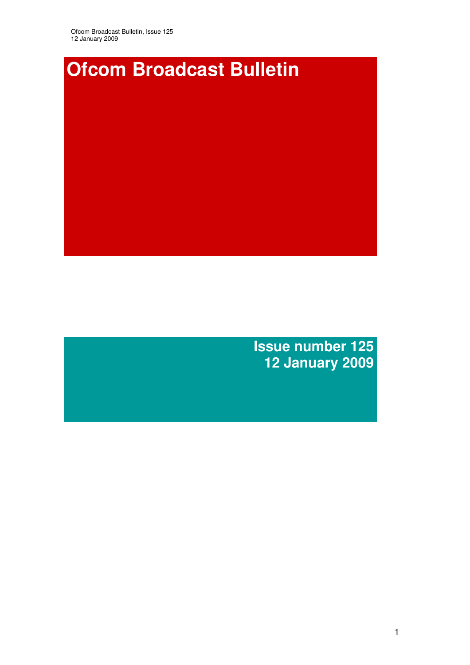

**Issue number 125 12 January 2009**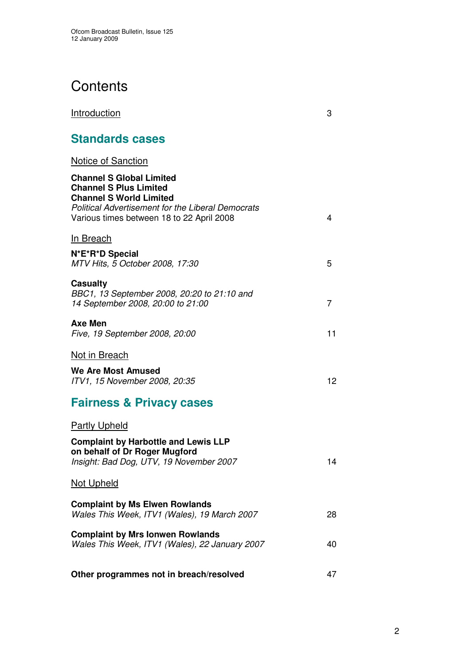# **Contents**

| <b>Introduction</b>                                                                                                                                                                                         | 3  |
|-------------------------------------------------------------------------------------------------------------------------------------------------------------------------------------------------------------|----|
| <b>Standards cases</b>                                                                                                                                                                                      |    |
| <b>Notice of Sanction</b>                                                                                                                                                                                   |    |
| <b>Channel S Global Limited</b><br><b>Channel S Plus Limited</b><br><b>Channel S World Limited</b><br><b>Political Advertisement for the Liberal Democrats</b><br>Various times between 18 to 22 April 2008 | 4  |
| <b>In Breach</b>                                                                                                                                                                                            |    |
| N*E*R*D Special<br>MTV Hits, 5 October 2008, 17:30                                                                                                                                                          | 5  |
| <b>Casualty</b><br>BBC1, 13 September 2008, 20:20 to 21:10 and<br>14 September 2008, 20:00 to 21:00                                                                                                         | 7  |
| <b>Axe Men</b><br>Five, 19 September 2008, 20:00                                                                                                                                                            | 11 |
| <b>Not in Breach</b>                                                                                                                                                                                        |    |
| <b>We Are Most Amused</b><br>ITV1, 15 November 2008, 20:35                                                                                                                                                  | 12 |
| <b>Fairness &amp; Privacy cases</b>                                                                                                                                                                         |    |
| <b>Partly Upheld</b>                                                                                                                                                                                        |    |
| <b>Complaint by Harbottle and Lewis LLP</b><br>on behalf of Dr Roger Mugford<br>Insight: Bad Dog, UTV, 19 November 2007                                                                                     | 14 |
| <b>Not Upheld</b>                                                                                                                                                                                           |    |
| <b>Complaint by Ms Elwen Rowlands</b><br>Wales This Week, ITV1 (Wales), 19 March 2007                                                                                                                       | 28 |
| <b>Complaint by Mrs lonwen Rowlands</b><br>Wales This Week, ITV1 (Wales), 22 January 2007                                                                                                                   | 40 |
| Other programmes not in breach/resolved                                                                                                                                                                     | 47 |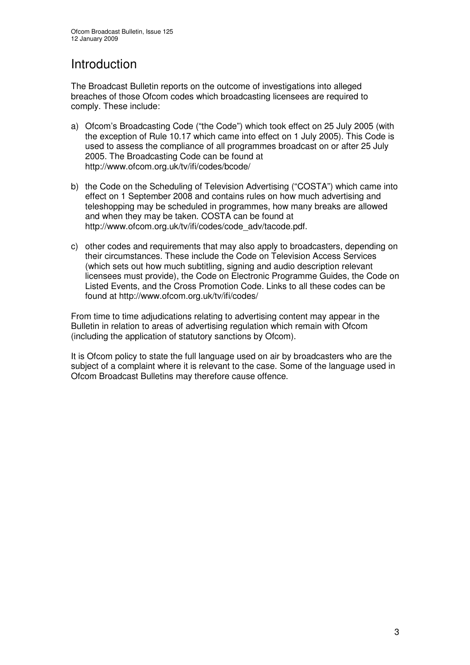## Introduction

The Broadcast Bulletin reports on the outcome of investigations into alleged breaches of those Ofcom codes which broadcasting licensees are required to comply. These include:

- a) Ofcom's Broadcasting Code ("the Code") which took effect on 25 July 2005 (with the exception of Rule 10.17 which came into effect on 1 July 2005). This Code is used to assess the compliance of all programmes broadcast on or after 25 July 2005. The Broadcasting Code can be found at http://www.ofcom.org.uk/tv/ifi/codes/bcode/
- b) the Code on the Scheduling of Television Advertising ("COSTA") which came into effect on 1 September 2008 and contains rules on how much advertising and teleshopping may be scheduled in programmes, how many breaks are allowed and when they may be taken. COSTA can be found at http://www.ofcom.org.uk/tv/ifi/codes/code\_adv/tacode.pdf.
- c) other codes and requirements that may also apply to broadcasters, depending on their circumstances. These include the Code on Television Access Services (which sets out how much subtitling, signing and audio description relevant licensees must provide), the Code on Electronic Programme Guides, the Code on Listed Events, and the Cross Promotion Code. Links to all these codes can be found at http://www.ofcom.org.uk/tv/ifi/codes/

From time to time adjudications relating to advertising content may appear in the Bulletin in relation to areas of advertising regulation which remain with Ofcom (including the application of statutory sanctions by Ofcom).

It is Ofcom policy to state the full language used on air by broadcasters who are the subject of a complaint where it is relevant to the case. Some of the language used in Ofcom Broadcast Bulletins may therefore cause offence.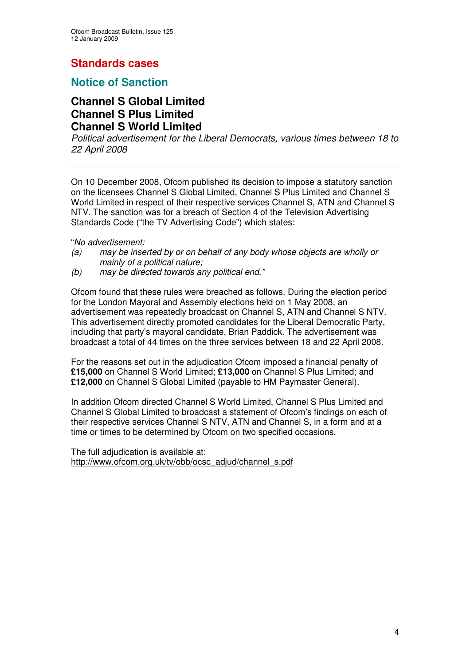## **Standards cases**

## **Notice of Sanction**

### **Channel S Global Limited Channel S Plus Limited Channel S World Limited**

*Political advertisement for the Liberal Democrats, various times between 18 to 22 April 2008*

On 10 December 2008, Ofcom published its decision to impose a statutory sanction on the licensees Channel S Global Limited, Channel S Plus Limited and Channel S World Limited in respect of their respective services Channel S, ATN and Channel S NTV. The sanction was for a breach of Section 4 of the Television Advertising Standards Code ("the TV Advertising Code") which states:

"*No advertisement:*

- *(a) may be inserted by or on behalf of any body whose objects are wholly or mainly of a political nature;*
- *(b) may be directed towards any political end."*

Ofcom found that these rules were breached as follows. During the election period for the London Mayoral and Assembly elections held on 1 May 2008, an advertisement was repeatedly broadcast on Channel S, ATN and Channel S NTV. This advertisement directly promoted candidates for the Liberal Democratic Party, including that party's mayoral candidate, Brian Paddick. The advertisement was broadcast a total of 44 times on the three services between 18 and 22 April 2008.

For the reasons set out in the adjudication Ofcom imposed a financial penalty of **£15,000** on Channel S World Limited; **£13,000** on Channel S Plus Limited; and **£12,000** on Channel S Global Limited (payable to HM Paymaster General).

In addition Ofcom directed Channel S World Limited, Channel S Plus Limited and Channel S Global Limited to broadcast a statement of Ofcom's findings on each of their respective services Channel S NTV, ATN and Channel S, in a form and at a time or times to be determined by Ofcom on two specified occasions.

The full adjudication is available at: http://www.ofcom.org.uk/tv/obb/ocsc\_adjud/channel\_s.pdf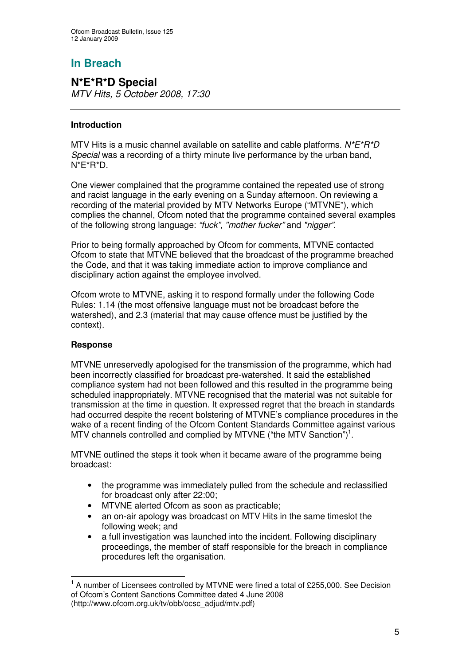## **In Breach**

#### **N\*E\*R\*D Special** *MTV Hits, 5 October 2008, 17:30*

#### **Introduction**

MTV Hits is a music channel available on satellite and cable platforms. *N\*E\*R\*D Special* was a recording of a thirty minute live performance by the urban band, N\*E\*R\*D.

One viewer complained that the programme contained the repeated use of strong and racist language in the early evening on a Sunday afternoon. On reviewing a recording of the material provided by MTV Networks Europe ("MTVNE"), which complies the channel, Ofcom noted that the programme contained several examples of the following strong language: *"fuck"*, *"mother fucker"* and *"nigger"*.

Prior to being formally approached by Ofcom for comments, MTVNE contacted Ofcom to state that MTVNE believed that the broadcast of the programme breached the Code, and that it was taking immediate action to improve compliance and disciplinary action against the employee involved.

Ofcom wrote to MTVNE, asking it to respond formally under the following Code Rules: 1.14 (the most offensive language must not be broadcast before the watershed), and 2.3 (material that may cause offence must be justified by the context).

#### **Response**

MTVNE unreservedly apologised for the transmission of the programme, which had been incorrectly classified for broadcast pre-watershed. It said the established compliance system had not been followed and this resulted in the programme being scheduled inappropriately. MTVNE recognised that the material was not suitable for transmission at the time in question. It expressed regret that the breach in standards had occurred despite the recent bolstering of MTVNE's compliance procedures in the wake of a recent finding of the Ofcom Content Standards Committee against various MTV channels controlled and complied by MTVNE ("the MTV Sanction")<sup>1</sup>.

MTVNE outlined the steps it took when it became aware of the programme being broadcast:

- the programme was immediately pulled from the schedule and reclassified for broadcast only after 22:00;
- MTVNE alerted Ofcom as soon as practicable;
- an on-air apology was broadcast on MTV Hits in the same timeslot the following week; and
- a full investigation was launched into the incident. Following disciplinary proceedings, the member of staff responsible for the breach in compliance procedures left the organisation.

 $1$  A number of Licensees controlled by MTVNE were fined a total of £255,000. See Decision of Ofcom's Content Sanctions Committee dated 4 June 2008 (http://www.ofcom.org.uk/tv/obb/ocsc\_adjud/mtv.pdf)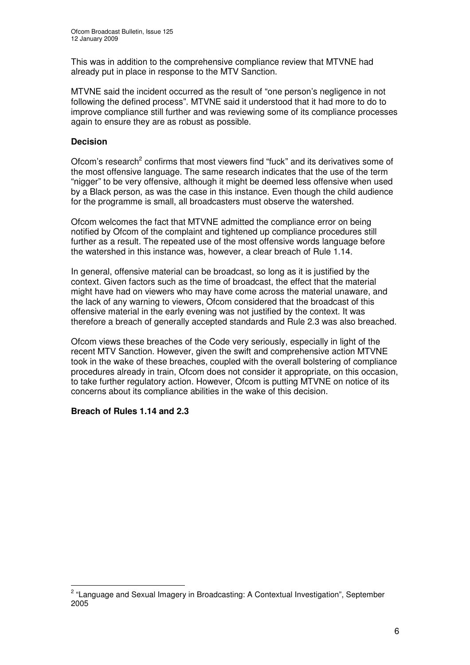This was in addition to the comprehensive compliance review that MTVNE had already put in place in response to the MTV Sanction.

MTVNE said the incident occurred as the result of "one person's negligence in not following the defined process". MTVNE said it understood that it had more to do to improve compliance still further and was reviewing some of its compliance processes again to ensure they are as robust as possible.

#### **Decision**

Ofcom's research<sup>2</sup> confirms that most viewers find "fuck" and its derivatives some of the most offensive language. The same research indicates that the use of the term "nigger" to be very offensive, although it might be deemed less offensive when used by a Black person, as was the case in this instance. Even though the child audience for the programme is small, all broadcasters must observe the watershed.

Ofcom welcomes the fact that MTVNE admitted the compliance error on being notified by Ofcom of the complaint and tightened up compliance procedures still further as a result. The repeated use of the most offensive words language before the watershed in this instance was, however, a clear breach of Rule 1.14.

In general, offensive material can be broadcast, so long as it is justified by the context. Given factors such as the time of broadcast, the effect that the material might have had on viewers who may have come across the material unaware, and the lack of any warning to viewers, Ofcom considered that the broadcast of this offensive material in the early evening was not justified by the context. It was therefore a breach of generally accepted standards and Rule 2.3 was also breached.

Ofcom views these breaches of the Code very seriously, especially in light of the recent MTV Sanction. However, given the swift and comprehensive action MTVNE took in the wake of these breaches, coupled with the overall bolstering of compliance procedures already in train, Ofcom does not consider it appropriate, on this occasion, to take further regulatory action. However, Ofcom is putting MTVNE on notice of its concerns about its compliance abilities in the wake of this decision.

#### **Breach of Rules 1.14 and 2.3**

<sup>&</sup>lt;sup>2</sup> "Language and Sexual Imagery in Broadcasting: A Contextual Investigation", September 2005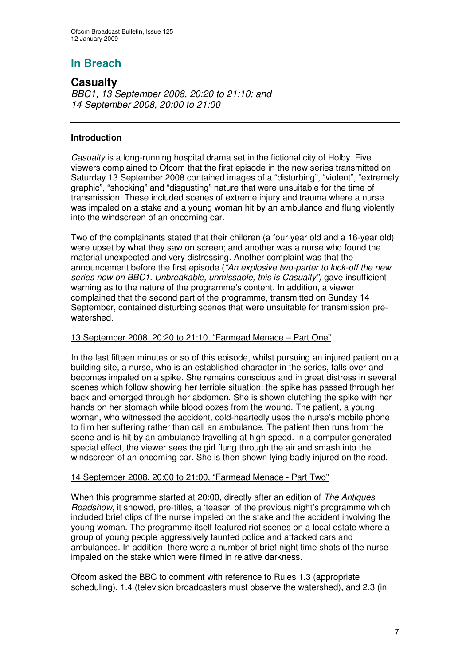## **In Breach**

## **Casualty**

*BBC1, 13 September 2008, 20:20 to 21:10; and 14 September 2008, 20:00 to 21:00*

#### **Introduction**

*Casualty* is a long-running hospital drama set in the fictional city of Holby. Five viewers complained to Ofcom that the first episode in the new series transmitted on Saturday 13 September 2008 contained images of a "disturbing", "violent", "extremely graphic", "shocking" and "disgusting" nature that were unsuitable for the time of transmission. These included scenes of extreme injury and trauma where a nurse was impaled on a stake and a young woman hit by an ambulance and flung violently into the windscreen of an oncoming car.

Two of the complainants stated that their children (a four year old and a 16-year old) were upset by what they saw on screen; and another was a nurse who found the material unexpected and very distressing. Another complaint was that the announcement before the first episode (*"An explosive two-parter to kick-off the new series now on BBC1. Unbreakable, unmissable, this is Casualty")* gave insufficient warning as to the nature of the programme's content*.* In addition, a viewer complained that the second part of the programme, transmitted on Sunday 14 September, contained disturbing scenes that were unsuitable for transmission prewatershed.

#### 13 September 2008, 20:20 to 21:10, "Farmead Menace – Part One"

In the last fifteen minutes or so of this episode, whilst pursuing an injured patient on a building site, a nurse, who is an established character in the series, falls over and becomes impaled on a spike. She remains conscious and in great distress in several scenes which follow showing her terrible situation: the spike has passed through her back and emerged through her abdomen. She is shown clutching the spike with her hands on her stomach while blood oozes from the wound. The patient, a young woman, who witnessed the accident, cold-heartedly uses the nurse's mobile phone to film her suffering rather than call an ambulance. The patient then runs from the scene and is hit by an ambulance travelling at high speed. In a computer generated special effect, the viewer sees the girl flung through the air and smash into the windscreen of an oncoming car. She is then shown lying badly injured on the road.

#### 14 September 2008, 20:00 to 21:00, "Farmead Menace - Part Two"

When this programme started at 20:00, directly after an edition of *The Antiques Roadshow*, it showed, pre-titles, a 'teaser' of the previous night's programme which included brief clips of the nurse impaled on the stake and the accident involving the young woman. The programme itself featured riot scenes on a local estate where a group of young people aggressively taunted police and attacked cars and ambulances. In addition, there were a number of brief night time shots of the nurse impaled on the stake which were filmed in relative darkness.

Ofcom asked the BBC to comment with reference to Rules 1.3 (appropriate scheduling), 1.4 (television broadcasters must observe the watershed), and 2.3 (in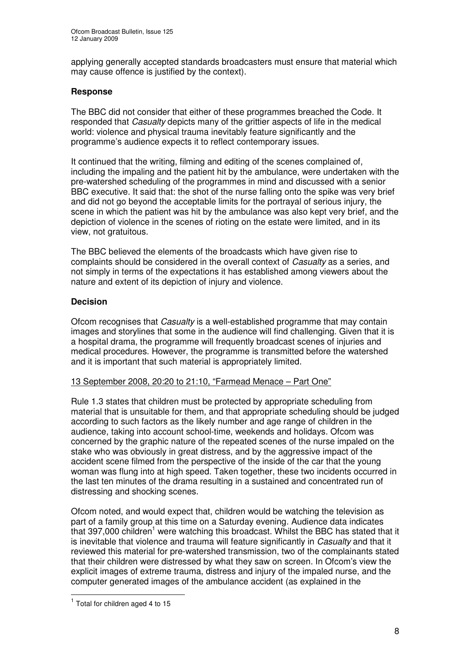applying generally accepted standards broadcasters must ensure that material which may cause offence is justified by the context).

#### **Response**

The BBC did not consider that either of these programmes breached the Code. It responded that *Casualty* depicts many of the grittier aspects of life in the medical world: violence and physical trauma inevitably feature significantly and the programme's audience expects it to reflect contemporary issues.

It continued that the writing, filming and editing of the scenes complained of, including the impaling and the patient hit by the ambulance, were undertaken with the pre-watershed scheduling of the programmes in mind and discussed with a senior BBC executive. It said that: the shot of the nurse falling onto the spike was very brief and did not go beyond the acceptable limits for the portrayal of serious injury, the scene in which the patient was hit by the ambulance was also kept very brief, and the depiction of violence in the scenes of rioting on the estate were limited, and in its view, not gratuitous.

The BBC believed the elements of the broadcasts which have given rise to complaints should be considered in the overall context of *Casualty* as a series, and not simply in terms of the expectations it has established among viewers about the nature and extent of its depiction of injury and violence.

#### **Decision**

Ofcom recognises that *Casualty* is a well-established programme that may contain images and storylines that some in the audience will find challenging. Given that it is a hospital drama, the programme will frequently broadcast scenes of injuries and medical procedures. However, the programme is transmitted before the watershed and it is important that such material is appropriately limited.

#### 13 September 2008, 20:20 to 21:10, "Farmead Menace – Part One"

Rule 1.3 states that children must be protected by appropriate scheduling from material that is unsuitable for them, and that appropriate scheduling should be judged according to such factors as the likely number and age range of children in the audience, taking into account school-time, weekends and holidays. Ofcom was concerned by the graphic nature of the repeated scenes of the nurse impaled on the stake who was obviously in great distress, and by the aggressive impact of the accident scene filmed from the perspective of the inside of the car that the young woman was flung into at high speed. Taken together, these two incidents occurred in the last ten minutes of the drama resulting in a sustained and concentrated run of distressing and shocking scenes.

Ofcom noted, and would expect that, children would be watching the television as part of a family group at this time on a Saturday evening. Audience data indicates that 397,000 children<sup>1</sup> were watching this broadcast. Whilst the BBC has stated that it is inevitable that violence and trauma will feature significantly in *Casualty* and that it reviewed this material for pre-watershed transmission, two of the complainants stated that their children were distressed by what they saw on screen. In Ofcom's view the explicit images of extreme trauma, distress and injury of the impaled nurse, and the computer generated images of the ambulance accident (as explained in the

 $<sup>1</sup>$  Total for children aged 4 to 15</sup>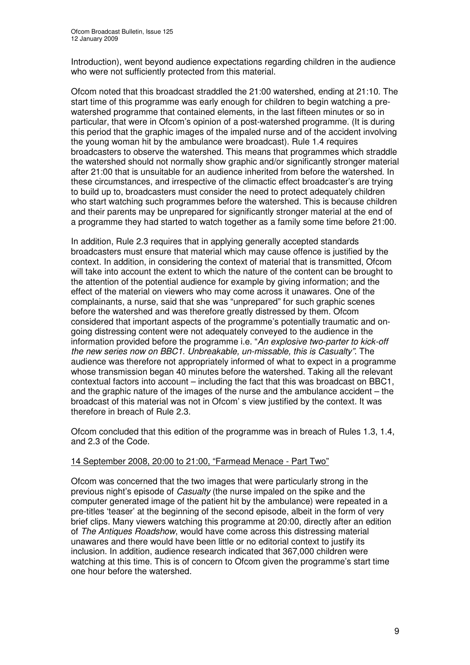Introduction), went beyond audience expectations regarding children in the audience who were not sufficiently protected from this material.

Ofcom noted that this broadcast straddled the 21:00 watershed, ending at 21:10. The start time of this programme was early enough for children to begin watching a prewatershed programme that contained elements, in the last fifteen minutes or so in particular, that were in Ofcom's opinion of a post-watershed programme. (It is during this period that the graphic images of the impaled nurse and of the accident involving the young woman hit by the ambulance were broadcast). Rule 1.4 requires broadcasters to observe the watershed. This means that programmes which straddle the watershed should not normally show graphic and/or significantly stronger material after 21:00 that is unsuitable for an audience inherited from before the watershed. In these circumstances, and irrespective of the climactic effect broadcaster's are trying to build up to, broadcasters must consider the need to protect adequately children who start watching such programmes before the watershed. This is because children and their parents may be unprepared for significantly stronger material at the end of a programme they had started to watch together as a family some time before 21:00.

In addition, Rule 2.3 requires that in applying generally accepted standards broadcasters must ensure that material which may cause offence is justified by the context. In addition, in considering the context of material that is transmitted, Ofcom will take into account the extent to which the nature of the content can be brought to the attention of the potential audience for example by giving information; and the effect of the material on viewers who may come across it unawares. One of the complainants, a nurse, said that she was "unprepared" for such graphic scenes before the watershed and was therefore greatly distressed by them. Ofcom considered that important aspects of the programme's potentially traumatic and ongoing distressing content were not adequately conveyed to the audience in the information provided before the programme i.e. "*An explosive two-parter to kick-off the new series now on BBC1. Unbreakable, un-missable, this is Casualty"*. The audience was therefore not appropriately informed of what to expect in a programme whose transmission began 40 minutes before the watershed. Taking all the relevant contextual factors into account – including the fact that this was broadcast on BBC1, and the graphic nature of the images of the nurse and the ambulance accident – the broadcast of this material was not in Ofcom' s view justified by the context. It was therefore in breach of Rule 2.3.

Ofcom concluded that this edition of the programme was in breach of Rules 1.3, 1.4, and 2.3 of the Code.

#### 14 September 2008, 20:00 to 21:00, "Farmead Menace - Part Two"

Ofcom was concerned that the two images that were particularly strong in the previous night's episode of *Casualty* (the nurse impaled on the spike and the computer generated image of the patient hit by the ambulance) were repeated in a pre-titles 'teaser' at the beginning of the second episode, albeit in the form of very brief clips. Many viewers watching this programme at 20:00, directly after an edition of *The Antiques Roadshow*, would have come across this distressing material unawares and there would have been little or no editorial context to justify its inclusion. In addition, audience research indicated that 367,000 children were watching at this time. This is of concern to Ofcom given the programme's start time one hour before the watershed.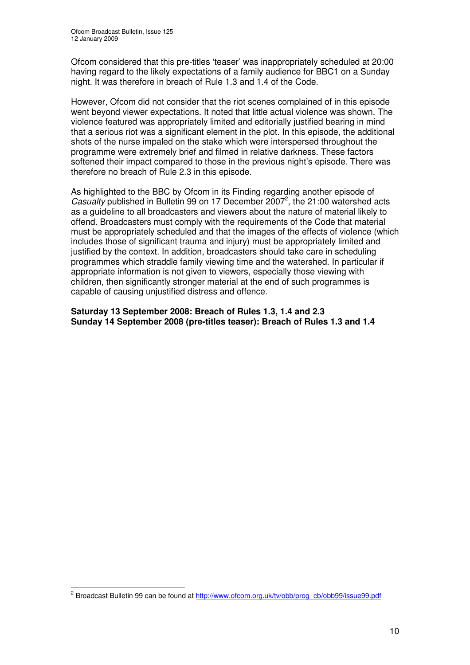Ofcom considered that this pre-titles 'teaser' was inappropriately scheduled at 20:00 having regard to the likely expectations of a family audience for BBC1 on a Sunday night. It was therefore in breach of Rule 1.3 and 1.4 of the Code.

However, Ofcom did not consider that the riot scenes complained of in this episode went beyond viewer expectations. It noted that little actual violence was shown. The violence featured was appropriately limited and editorially justified bearing in mind that a serious riot was a significant element in the plot. In this episode, the additional shots of the nurse impaled on the stake which were interspersed throughout the programme were extremely brief and filmed in relative darkness. These factors softened their impact compared to those in the previous night's episode. There was therefore no breach of Rule 2.3 in this episode.

As highlighted to the BBC by Ofcom in its Finding regarding another episode of Casualty published in Bulletin 99 on 17 December 2007<sup>2</sup>, the 21:00 watershed acts as a guideline to all broadcasters and viewers about the nature of material likely to offend. Broadcasters must comply with the requirements of the Code that material must be appropriately scheduled and that the images of the effects of violence (which includes those of significant trauma and injury) must be appropriately limited and justified by the context. In addition, broadcasters should take care in scheduling programmes which straddle family viewing time and the watershed. In particular if appropriate information is not given to viewers, especially those viewing with children, then significantly stronger material at the end of such programmes is capable of causing unjustified distress and offence.

**Saturday 13 September 2008: Breach of Rules 1.3, 1.4 and 2.3 Sunday 14 September 2008 (pre-titles teaser): Breach of Rules 1.3 and 1.4**

<sup>&</sup>lt;sup>2</sup> Broadcast Bulletin 99 can be found at http://www.ofcom.org.uk/tv/obb/prog\_cb/obb99/issue99.pdf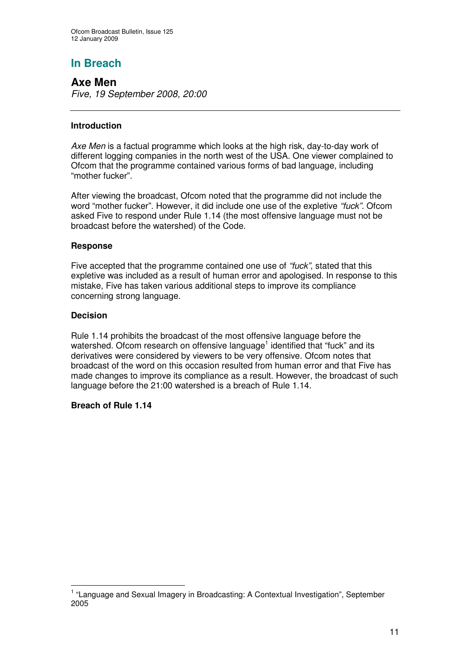## **In Breach**

### **Axe Men**

*Five, 19 September 2008, 20:00*

#### **Introduction**

*Axe Men* is a factual programme which looks at the high risk, day-to-day work of different logging companies in the north west of the USA. One viewer complained to Ofcom that the programme contained various forms of bad language, including "mother fucker".

After viewing the broadcast, Ofcom noted that the programme did not include the word "mother fucker". However, it did include one use of the expletive *"fuck".* Ofcom asked Five to respond under Rule 1.14 (the most offensive language must not be broadcast before the watershed) of the Code.

#### **Response**

Five accepted that the programme contained one use of *"fuck"*, stated that this expletive was included as a result of human error and apologised. In response to this mistake, Five has taken various additional steps to improve its compliance concerning strong language.

#### **Decision**

Rule 1.14 prohibits the broadcast of the most offensive language before the watershed. Ofcom research on offensive language<sup>1</sup> identified that "fuck" and its derivatives were considered by viewers to be very offensive. Ofcom notes that broadcast of the word on this occasion resulted from human error and that Five has made changes to improve its compliance as a result. However, the broadcast of such language before the 21:00 watershed is a breach of Rule 1.14.

#### **Breach of Rule 1.14**

<sup>&</sup>lt;sup>1</sup> "Language and Sexual Imagery in Broadcasting: A Contextual Investigation", September 2005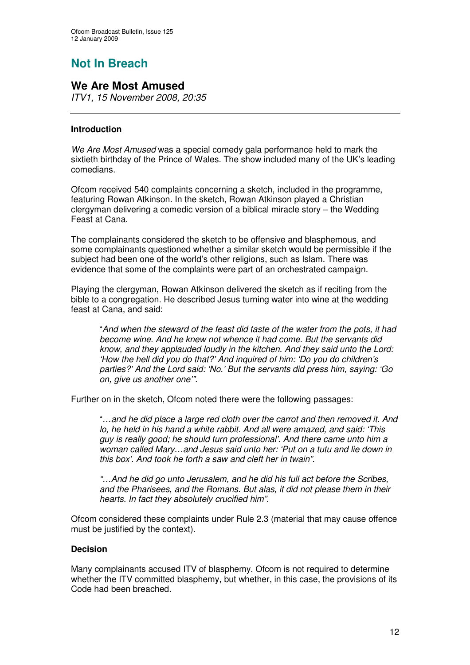## **Not In Breach**

## **We Are Most Amused**

*ITV1, 15 November 2008, 20:35*

#### **Introduction**

*We Are Most Amused* was a special comedy gala performance held to mark the sixtieth birthday of the Prince of Wales. The show included many of the UK's leading comedians.

Ofcom received 540 complaints concerning a sketch, included in the programme, featuring Rowan Atkinson. In the sketch, Rowan Atkinson played a Christian clergyman delivering a comedic version of a biblical miracle story – the Wedding Feast at Cana.

The complainants considered the sketch to be offensive and blasphemous, and some complainants questioned whether a similar sketch would be permissible if the subject had been one of the world's other religions, such as Islam. There was evidence that some of the complaints were part of an orchestrated campaign.

Playing the clergyman, Rowan Atkinson delivered the sketch as if reciting from the bible to a congregation. He described Jesus turning water into wine at the wedding feast at Cana, and said:

"*And when the steward of the feast did taste of the water from the pots, it had become wine. And he knew not whence it had come. But the servants did know, and they applauded loudly in the kitchen. And they said unto the Lord: 'How the hell did you do that?' And inquired of him: 'Do you do children's parties?' And the Lord said: 'No.' But the servants did press him, saying: 'Go on, give us another one'".*

Further on in the sketch, Ofcom noted there were the following passages:

"*…and he did place a large red cloth over the carrot and then removed it. And lo, he held in his hand a white rabbit. And all were amazed, and said: 'This guy is really good; he should turn professional'. And there came unto him a woman called Mary…and Jesus said unto her: 'Put on a tutu and lie down in this box'. And took he forth a saw and cleft her in twain".*

*"…And he did go unto Jerusalem, and he did his full act before the Scribes, and the Pharisees, and the Romans. But alas, it did not please them in their hearts. In fact they absolutely crucified him".*

Ofcom considered these complaints under Rule 2.3 (material that may cause offence must be justified by the context).

#### **Decision**

Many complainants accused ITV of blasphemy. Ofcom is not required to determine whether the ITV committed blasphemy, but whether, in this case, the provisions of its Code had been breached.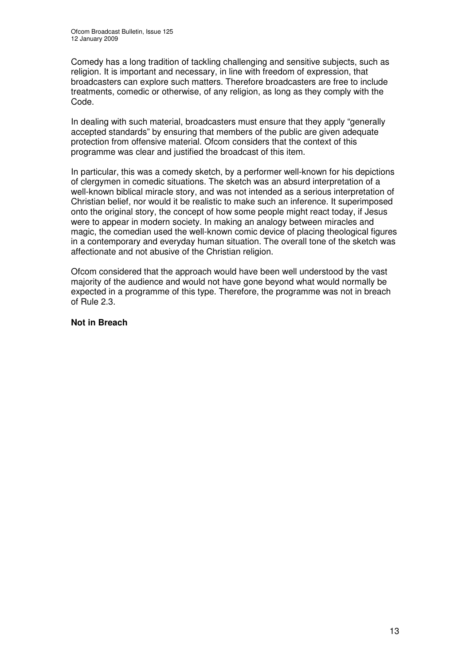Comedy has a long tradition of tackling challenging and sensitive subjects, such as religion. It is important and necessary, in line with freedom of expression, that broadcasters can explore such matters. Therefore broadcasters are free to include treatments, comedic or otherwise, of any religion, as long as they comply with the Code.

In dealing with such material, broadcasters must ensure that they apply "generally accepted standards" by ensuring that members of the public are given adequate protection from offensive material. Ofcom considers that the context of this programme was clear and justified the broadcast of this item.

In particular, this was a comedy sketch, by a performer well-known for his depictions of clergymen in comedic situations. The sketch was an absurd interpretation of a well-known biblical miracle story, and was not intended as a serious interpretation of Christian belief, nor would it be realistic to make such an inference. It superimposed onto the original story, the concept of how some people might react today, if Jesus were to appear in modern society. In making an analogy between miracles and magic, the comedian used the well-known comic device of placing theological figures in a contemporary and everyday human situation. The overall tone of the sketch was affectionate and not abusive of the Christian religion.

Ofcom considered that the approach would have been well understood by the vast majority of the audience and would not have gone beyond what would normally be expected in a programme of this type. Therefore, the programme was not in breach of Rule 2.3.

#### **Not in Breach**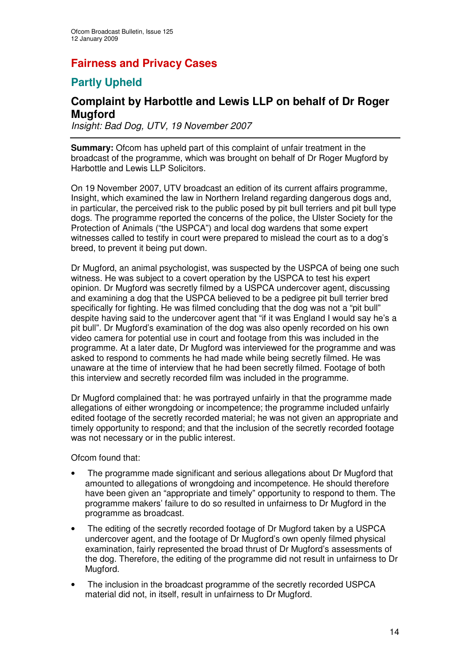## **Fairness and Privacy Cases**

## **Partly Upheld**

## **Complaint by Harbottle and Lewis LLP on behalf of Dr Roger Mugford**

*Insight: Bad Dog, UTV, 19 November 2007*

**Summary:** Ofcom has upheld part of this complaint of unfair treatment in the broadcast of the programme, which was brought on behalf of Dr Roger Mugford by Harbottle and Lewis LLP Solicitors.

On 19 November 2007, UTV broadcast an edition of its current affairs programme, Insight, which examined the law in Northern Ireland regarding dangerous dogs and, in particular, the perceived risk to the public posed by pit bull terriers and pit bull type dogs. The programme reported the concerns of the police, the Ulster Society for the Protection of Animals ("the USPCA") and local dog wardens that some expert witnesses called to testify in court were prepared to mislead the court as to a dog's breed, to prevent it being put down.

Dr Mugford, an animal psychologist, was suspected by the USPCA of being one such witness. He was subject to a covert operation by the USPCA to test his expert opinion. Dr Mugford was secretly filmed by a USPCA undercover agent, discussing and examining a dog that the USPCA believed to be a pedigree pit bull terrier bred specifically for fighting. He was filmed concluding that the dog was not a "pit bull" despite having said to the undercover agent that "if it was England I would say he's a pit bull". Dr Mugford's examination of the dog was also openly recorded on his own video camera for potential use in court and footage from this was included in the programme. At a later date, Dr Mugford was interviewed for the programme and was asked to respond to comments he had made while being secretly filmed. He was unaware at the time of interview that he had been secretly filmed. Footage of both this interview and secretly recorded film was included in the programme.

Dr Mugford complained that: he was portrayed unfairly in that the programme made allegations of either wrongdoing or incompetence; the programme included unfairly edited footage of the secretly recorded material; he was not given an appropriate and timely opportunity to respond; and that the inclusion of the secretly recorded footage was not necessary or in the public interest.

Ofcom found that:

- The programme made significant and serious allegations about Dr Mugford that amounted to allegations of wrongdoing and incompetence. He should therefore have been given an "appropriate and timely" opportunity to respond to them. The programme makers' failure to do so resulted in unfairness to Dr Mugford in the programme as broadcast.
- The editing of the secretly recorded footage of Dr Mugford taken by a USPCA undercover agent, and the footage of Dr Mugford's own openly filmed physical examination, fairly represented the broad thrust of Dr Mugford's assessments of the dog. Therefore, the editing of the programme did not result in unfairness to Dr Mugford.
- The inclusion in the broadcast programme of the secretly recorded USPCA material did not, in itself, result in unfairness to Dr Mugford.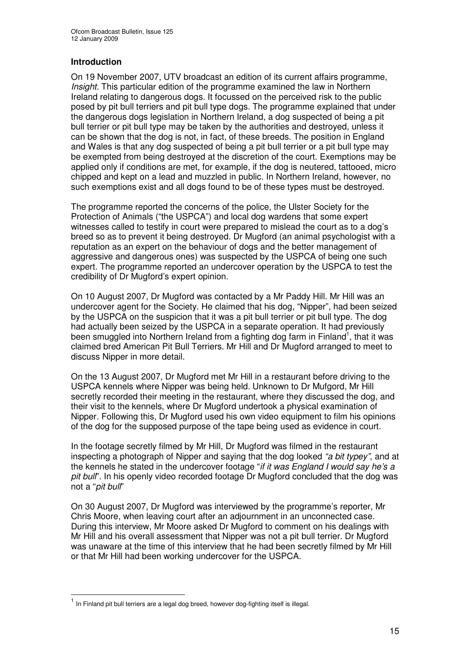#### **Introduction**

On 19 November 2007, UTV broadcast an edition of its current affairs programme, *Insight*. This particular edition of the programme examined the law in Northern Ireland relating to dangerous dogs. It focussed on the perceived risk to the public posed by pit bull terriers and pit bull type dogs. The programme explained that under the dangerous dogs legislation in Northern Ireland, a dog suspected of being a pit bull terrier or pit bull type may be taken by the authorities and destroyed, unless it can be shown that the dog is not, in fact, of these breeds. The position in England and Wales is that any dog suspected of being a pit bull terrier or a pit bull type may be exempted from being destroyed at the discretion of the court. Exemptions may be applied only if conditions are met, for example, if the dog is neutered, tattooed, micro chipped and kept on a lead and muzzled in public. In Northern Ireland, however, no such exemptions exist and all dogs found to be of these types must be destroyed.

The programme reported the concerns of the police, the Ulster Society for the Protection of Animals ("the USPCA") and local dog wardens that some expert witnesses called to testify in court were prepared to mislead the court as to a dog's breed so as to prevent it being destroyed. Dr Mugford (an animal psychologist with a reputation as an expert on the behaviour of dogs and the better management of aggressive and dangerous ones) was suspected by the USPCA of being one such expert. The programme reported an undercover operation by the USPCA to test the credibility of Dr Mugford's expert opinion.

On 10 August 2007, Dr Mugford was contacted by a Mr Paddy Hill. Mr Hill was an undercover agent for the Society. He claimed that his dog, "Nipper", had been seized by the USPCA on the suspicion that it was a pit bull terrier or pit bull type. The dog had actually been seized by the USPCA in a separate operation. It had previously been smuggled into Northern Ireland from a fighting dog farm in Finland<sup>1</sup>, that it was claimed bred American Pit Bull Terriers. Mr Hill and Dr Mugford arranged to meet to discuss Nipper in more detail.

On the 13 August 2007, Dr Mugford met Mr Hill in a restaurant before driving to the USPCA kennels where Nipper was being held. Unknown to Dr Mufgord, Mr Hill secretly recorded their meeting in the restaurant, where they discussed the dog, and their visit to the kennels, where Dr Mugford undertook a physical examination of Nipper. Following this, Dr Mugford used his own video equipment to film his opinions of the dog for the supposed purpose of the tape being used as evidence in court.

In the footage secretly filmed by Mr Hill, Dr Mugford was filmed in the restaurant inspecting a photograph of Nipper and saying that the dog looked *"a bit typey"*, and at the kennels he stated in the undercover footage "*if it was England I would say he's a pit bull*". In his openly video recorded footage Dr Mugford concluded that the dog was not a "*pit bull*"

On 30 August 2007, Dr Mugford was interviewed by the programme's reporter, Mr Chris Moore, when leaving court after an adjournment in an unconnected case. During this interview, Mr Moore asked Dr Mugford to comment on his dealings with Mr Hill and his overall assessment that Nipper was not a pit bull terrier. Dr Mugford was unaware at the time of this interview that he had been secretly filmed by Mr Hill or that Mr Hill had been working undercover for the USPCA.

<sup>&</sup>lt;sup>1</sup> In Finland pit bull terriers are a legal dog breed, however dog-fighting itself is illegal.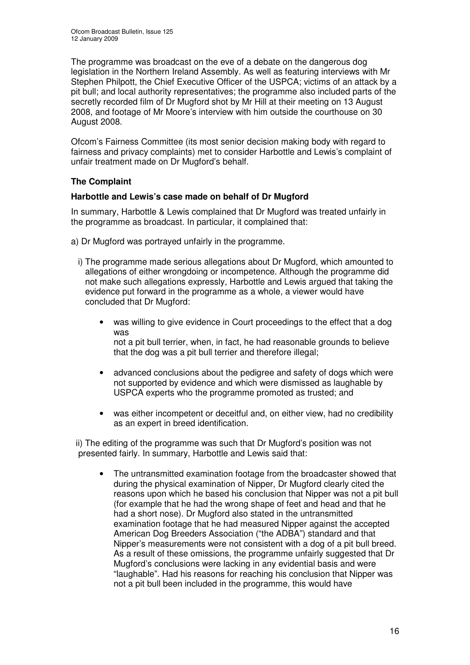The programme was broadcast on the eve of a debate on the dangerous dog legislation in the Northern Ireland Assembly. As well as featuring interviews with Mr Stephen Philpott, the Chief Executive Officer of the USPCA; victims of an attack by a pit bull; and local authority representatives; the programme also included parts of the secretly recorded film of Dr Mugford shot by Mr Hill at their meeting on 13 August 2008, and footage of Mr Moore's interview with him outside the courthouse on 30 August 2008.

Ofcom's Fairness Committee (its most senior decision making body with regard to fairness and privacy complaints) met to consider Harbottle and Lewis's complaint of unfair treatment made on Dr Mugford's behalf.

#### **The Complaint**

#### **Harbottle and Lewis's case made on behalf of Dr Mugford**

In summary, Harbottle & Lewis complained that Dr Mugford was treated unfairly in the programme as broadcast. In particular, it complained that:

- a) Dr Mugford was portrayed unfairly in the programme.
	- i) The programme made serious allegations about Dr Mugford, which amounted to allegations of either wrongdoing or incompetence. Although the programme did not make such allegations expressly, Harbottle and Lewis argued that taking the evidence put forward in the programme as a whole, a viewer would have concluded that Dr Mugford:
		- was willing to give evidence in Court proceedings to the effect that a dog was not a pit bull terrier, when, in fact, he had reasonable grounds to believe that the dog was a pit bull terrier and therefore illegal;
		- advanced conclusions about the pedigree and safety of dogs which were not supported by evidence and which were dismissed as laughable by USPCA experts who the programme promoted as trusted; and
		- was either incompetent or deceitful and, on either view, had no credibility as an expert in breed identification*.*

ii) The editing of the programme was such that Dr Mugford's position was not presented fairly. In summary, Harbottle and Lewis said that:

• The untransmitted examination footage from the broadcaster showed that during the physical examination of Nipper, Dr Mugford clearly cited the reasons upon which he based his conclusion that Nipper was not a pit bull (for example that he had the wrong shape of feet and head and that he had a short nose). Dr Mugford also stated in the untransmitted examination footage that he had measured Nipper against the accepted American Dog Breeders Association ("the ADBA") standard and that Nipper's measurements were not consistent with a dog of a pit bull breed. As a result of these omissions, the programme unfairly suggested that Dr Mugford's conclusions were lacking in any evidential basis and were "laughable". Had his reasons for reaching his conclusion that Nipper was not a pit bull been included in the programme, this would have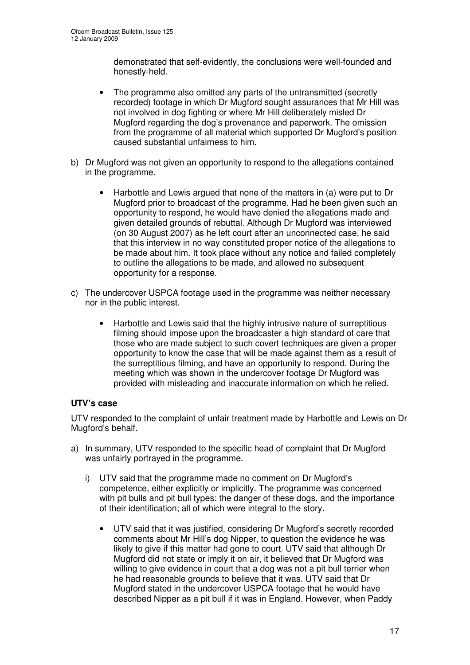demonstrated that self-evidently, the conclusions were well-founded and honestly-held.

- The programme also omitted any parts of the untransmitted (secretly recorded) footage in which Dr Mugford sought assurances that Mr Hill was not involved in dog fighting or where Mr Hill deliberately misled Dr Mugford regarding the dog's provenance and paperwork. The omission from the programme of all material which supported Dr Mugford's position caused substantial unfairness to him.
- b) Dr Mugford was not given an opportunity to respond to the allegations contained in the programme.
	- Harbottle and Lewis argued that none of the matters in (a) were put to Dr Mugford prior to broadcast of the programme. Had he been given such an opportunity to respond, he would have denied the allegations made and given detailed grounds of rebuttal. Although Dr Mugford was interviewed (on 30 August 2007) as he left court after an unconnected case, he said that this interview in no way constituted proper notice of the allegations to be made about him. It took place without any notice and failed completely to outline the allegations to be made, and allowed no subsequent opportunity for a response.
- c) The undercover USPCA footage used in the programme was neither necessary nor in the public interest.
	- Harbottle and Lewis said that the highly intrusive nature of surreptitious filming should impose upon the broadcaster a high standard of care that those who are made subject to such covert techniques are given a proper opportunity to know the case that will be made against them as a result of the surreptitious filming, and have an opportunity to respond. During the meeting which was shown in the undercover footage Dr Mugford was provided with misleading and inaccurate information on which he relied.

#### **UTV's case**

UTV responded to the complaint of unfair treatment made by Harbottle and Lewis on Dr Mugford's behalf.

- a) In summary, UTV responded to the specific head of complaint that Dr Mugford was unfairly portrayed in the programme.
	- i) UTV said that the programme made no comment on Dr Mugford's competence, either explicitly or implicitly. The programme was concerned with pit bulls and pit bull types: the danger of these dogs, and the importance of their identification; all of which were integral to the story.
		- UTV said that it was justified, considering Dr Mugford's secretly recorded comments about Mr Hill's dog Nipper, to question the evidence he was likely to give if this matter had gone to court. UTV said that although Dr Mugford did not state or imply it on air, it believed that Dr Mugford was willing to give evidence in court that a dog was not a pit bull terrier when he had reasonable grounds to believe that it was. UTV said that Dr Mugford stated in the undercover USPCA footage that he would have described Nipper as a pit bull if it was in England. However, when Paddy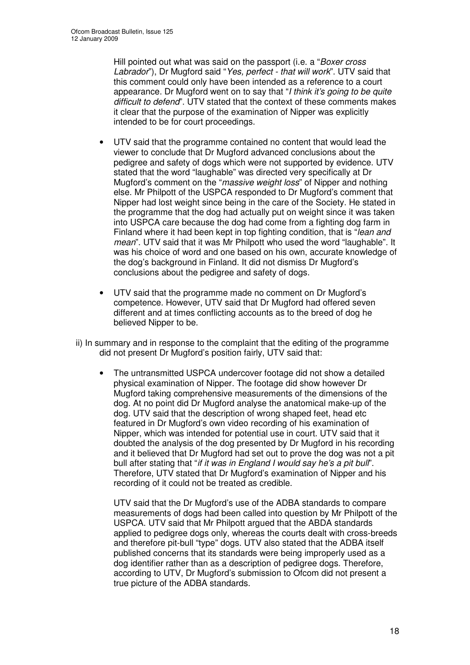Hill pointed out what was said on the passport (i.e. a "*Boxer cross Labrador*"), Dr Mugford said "*Yes, perfect - that will work*". UTV said that this comment could only have been intended as a reference to a court appearance. Dr Mugford went on to say that "*I think it's going to be quite difficult to defend*". UTV stated that the context of these comments makes it clear that the purpose of the examination of Nipper was explicitly intended to be for court proceedings.

- UTV said that the programme contained no content that would lead the viewer to conclude that Dr Mugford advanced conclusions about the pedigree and safety of dogs which were not supported by evidence. UTV stated that the word "laughable" was directed very specifically at Dr Mugford's comment on the "*massive weight loss*" of Nipper and nothing else. Mr Philpott of the USPCA responded to Dr Mugford's comment that Nipper had lost weight since being in the care of the Society. He stated in the programme that the dog had actually put on weight since it was taken into USPCA care because the dog had come from a fighting dog farm in Finland where it had been kept in top fighting condition, that is "*lean and mean*". UTV said that it was Mr Philpott who used the word "laughable". It was his choice of word and one based on his own, accurate knowledge of the dog's background in Finland. It did not dismiss Dr Mugford's conclusions about the pedigree and safety of dogs.
- UTV said that the programme made no comment on Dr Mugford's competence. However, UTV said that Dr Mugford had offered seven different and at times conflicting accounts as to the breed of dog he believed Nipper to be.
- ii) In summary and in response to the complaint that the editing of the programme did not present Dr Mugford's position fairly, UTV said that:
	- The untransmitted USPCA undercover footage did not show a detailed physical examination of Nipper. The footage did show however Dr Mugford taking comprehensive measurements of the dimensions of the dog. At no point did Dr Mugford analyse the anatomical make-up of the dog. UTV said that the description of wrong shaped feet, head etc featured in Dr Mugford's own video recording of his examination of Nipper, which was intended for potential use in court. UTV said that it doubted the analysis of the dog presented by Dr Mugford in his recording and it believed that Dr Mugford had set out to prove the dog was not a pit bull after stating that "*if it was in England I would say he's a pit bull*". Therefore, UTV stated that Dr Mugford's examination of Nipper and his recording of it could not be treated as credible.

UTV said that the Dr Mugford's use of the ADBA standards to compare measurements of dogs had been called into question by Mr Philpott of the USPCA. UTV said that Mr Philpott argued that the ABDA standards applied to pedigree dogs only, whereas the courts dealt with cross-breeds and therefore pit-bull "type" dogs. UTV also stated that the ADBA itself published concerns that its standards were being improperly used as a dog identifier rather than as a description of pedigree dogs. Therefore, according to UTV, Dr Mugford's submission to Ofcom did not present a true picture of the ADBA standards.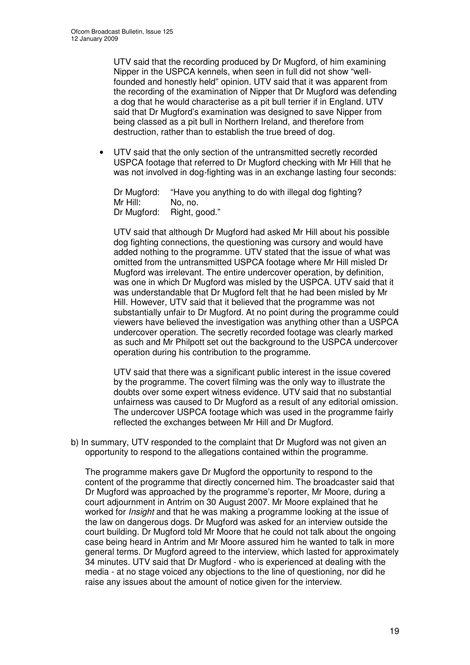UTV said that the recording produced by Dr Mugford, of him examining Nipper in the USPCA kennels, when seen in full did not show "wellfounded and honestly held" opinion. UTV said that it was apparent from the recording of the examination of Nipper that Dr Mugford was defending a dog that he would characterise as a pit bull terrier if in England. UTV said that Dr Mugford's examination was designed to save Nipper from being classed as a pit bull in Northern Ireland, and therefore from destruction, rather than to establish the true breed of dog.

• UTV said that the only section of the untransmitted secretly recorded USPCA footage that referred to Dr Mugford checking with Mr Hill that he was not involved in dog-fighting was in an exchange lasting four seconds:

Dr Mugford: "Have you anything to do with illegal dog fighting? Mr Hill: No, no. Dr Mugford: Right, good."

UTV said that although Dr Mugford had asked Mr Hill about his possible dog fighting connections, the questioning was cursory and would have added nothing to the programme. UTV stated that the issue of what was omitted from the untransmitted USPCA footage where Mr Hill misled Dr Mugford was irrelevant. The entire undercover operation, by definition, was one in which Dr Mugford was misled by the USPCA. UTV said that it was understandable that Dr Mugford felt that he had been misled by Mr Hill. However, UTV said that it believed that the programme was not substantially unfair to Dr Mugford. At no point during the programme could viewers have believed the investigation was anything other than a USPCA undercover operation. The secretly recorded footage was clearly marked as such and Mr Philpott set out the background to the USPCA undercover operation during his contribution to the programme.

UTV said that there was a significant public interest in the issue covered by the programme. The covert filming was the only way to illustrate the doubts over some expert witness evidence. UTV said that no substantial unfairness was caused to Dr Mugford as a result of any editorial omission. The undercover USPCA footage which was used in the programme fairly reflected the exchanges between Mr Hill and Dr Mugford.

b) In summary, UTV responded to the complaint that Dr Mugford was not given an opportunity to respond to the allegations contained within the programme.

The programme makers gave Dr Mugford the opportunity to respond to the content of the programme that directly concerned him. The broadcaster said that Dr Mugford was approached by the programme's reporter, Mr Moore, during a court adjournment in Antrim on 30 August 2007. Mr Moore explained that he worked for *Insight* and that he was making a programme looking at the issue of the law on dangerous dogs. Dr Mugford was asked for an interview outside the court building. Dr Mugford told Mr Moore that he could not talk about the ongoing case being heard in Antrim and Mr Moore assured him he wanted to talk in more general terms. Dr Mugford agreed to the interview, which lasted for approximately 34 minutes. UTV said that Dr Mugford - who is experienced at dealing with the media - at no stage voiced any objections to the line of questioning, nor did he raise any issues about the amount of notice given for the interview.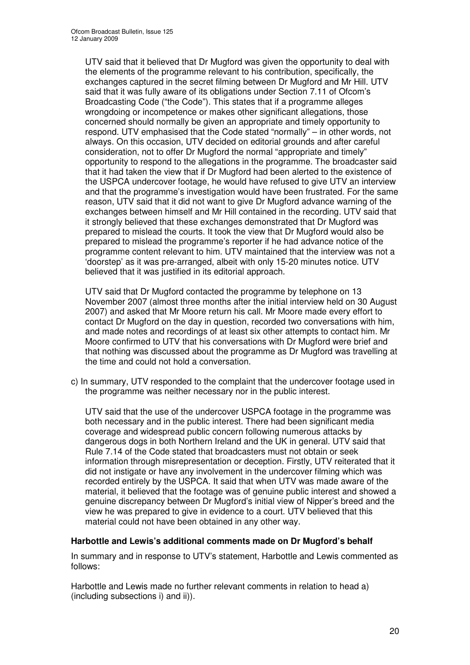UTV said that it believed that Dr Mugford was given the opportunity to deal with the elements of the programme relevant to his contribution, specifically, the exchanges captured in the secret filming between Dr Mugford and Mr Hill. UTV said that it was fully aware of its obligations under Section 7.11 of Ofcom's Broadcasting Code ("the Code"). This states that if a programme alleges wrongdoing or incompetence or makes other significant allegations, those concerned should normally be given an appropriate and timely opportunity to respond. UTV emphasised that the Code stated "normally" – in other words, not always. On this occasion, UTV decided on editorial grounds and after careful consideration, not to offer Dr Mugford the normal "appropriate and timely" opportunity to respond to the allegations in the programme. The broadcaster said that it had taken the view that if Dr Mugford had been alerted to the existence of the USPCA undercover footage, he would have refused to give UTV an interview and that the programme's investigation would have been frustrated. For the same reason, UTV said that it did not want to give Dr Mugford advance warning of the exchanges between himself and Mr Hill contained in the recording. UTV said that it strongly believed that these exchanges demonstrated that Dr Mugford was prepared to mislead the courts. It took the view that Dr Mugford would also be prepared to mislead the programme's reporter if he had advance notice of the programme content relevant to him. UTV maintained that the interview was not a 'doorstep' as it was pre-arranged, albeit with only 15-20 minutes notice. UTV believed that it was justified in its editorial approach.

UTV said that Dr Mugford contacted the programme by telephone on 13 November 2007 (almost three months after the initial interview held on 30 August 2007) and asked that Mr Moore return his call. Mr Moore made every effort to contact Dr Mugford on the day in question, recorded two conversations with him, and made notes and recordings of at least six other attempts to contact him. Mr Moore confirmed to UTV that his conversations with Dr Mugford were brief and that nothing was discussed about the programme as Dr Mugford was travelling at the time and could not hold a conversation.

c) In summary, UTV responded to the complaint that the undercover footage used in the programme was neither necessary nor in the public interest.

UTV said that the use of the undercover USPCA footage in the programme was both necessary and in the public interest. There had been significant media coverage and widespread public concern following numerous attacks by dangerous dogs in both Northern Ireland and the UK in general. UTV said that Rule 7.14 of the Code stated that broadcasters must not obtain or seek information through misrepresentation or deception. Firstly, UTV reiterated that it did not instigate or have any involvement in the undercover filming which was recorded entirely by the USPCA. It said that when UTV was made aware of the material, it believed that the footage was of genuine public interest and showed a genuine discrepancy between Dr Mugford's initial view of Nipper's breed and the view he was prepared to give in evidence to a court. UTV believed that this material could not have been obtained in any other way.

#### **Harbottle and Lewis's additional comments made on Dr Mugford's behalf**

In summary and in response to UTV's statement, Harbottle and Lewis commented as follows:

Harbottle and Lewis made no further relevant comments in relation to head a) (including subsections i) and ii)).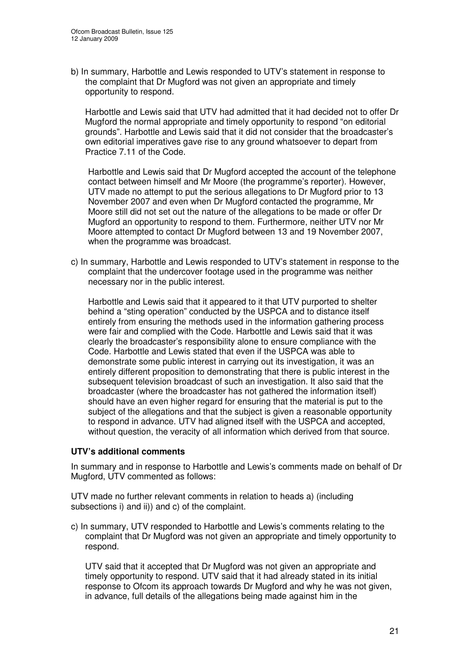b) In summary, Harbottle and Lewis responded to UTV's statement in response to the complaint that Dr Mugford was not given an appropriate and timely opportunity to respond.

Harbottle and Lewis said that UTV had admitted that it had decided not to offer Dr Mugford the normal appropriate and timely opportunity to respond "on editorial grounds". Harbottle and Lewis said that it did not consider that the broadcaster's own editorial imperatives gave rise to any ground whatsoever to depart from Practice 7.11 of the Code.

Harbottle and Lewis said that Dr Mugford accepted the account of the telephone contact between himself and Mr Moore (the programme's reporter). However, UTV made no attempt to put the serious allegations to Dr Mugford prior to 13 November 2007 and even when Dr Mugford contacted the programme, Mr Moore still did not set out the nature of the allegations to be made or offer Dr Mugford an opportunity to respond to them. Furthermore, neither UTV nor Mr Moore attempted to contact Dr Mugford between 13 and 19 November 2007, when the programme was broadcast.

c) In summary, Harbottle and Lewis responded to UTV's statement in response to the complaint that the undercover footage used in the programme was neither necessary nor in the public interest.

Harbottle and Lewis said that it appeared to it that UTV purported to shelter behind a "sting operation" conducted by the USPCA and to distance itself entirely from ensuring the methods used in the information gathering process were fair and complied with the Code. Harbottle and Lewis said that it was clearly the broadcaster's responsibility alone to ensure compliance with the Code. Harbottle and Lewis stated that even if the USPCA was able to demonstrate some public interest in carrying out its investigation, it was an entirely different proposition to demonstrating that there is public interest in the subsequent television broadcast of such an investigation. It also said that the broadcaster (where the broadcaster has not gathered the information itself) should have an even higher regard for ensuring that the material is put to the subject of the allegations and that the subject is given a reasonable opportunity to respond in advance. UTV had aligned itself with the USPCA and accepted, without question, the veracity of all information which derived from that source.

#### **UTV's additional comments**

In summary and in response to Harbottle and Lewis's comments made on behalf of Dr Mugford, UTV commented as follows:

UTV made no further relevant comments in relation to heads a) (including subsections i) and ii)) and c) of the complaint.

c) In summary, UTV responded to Harbottle and Lewis's comments relating to the complaint that Dr Mugford was not given an appropriate and timely opportunity to respond.

UTV said that it accepted that Dr Mugford was not given an appropriate and timely opportunity to respond. UTV said that it had already stated in its initial response to Ofcom its approach towards Dr Mugford and why he was not given, in advance, full details of the allegations being made against him in the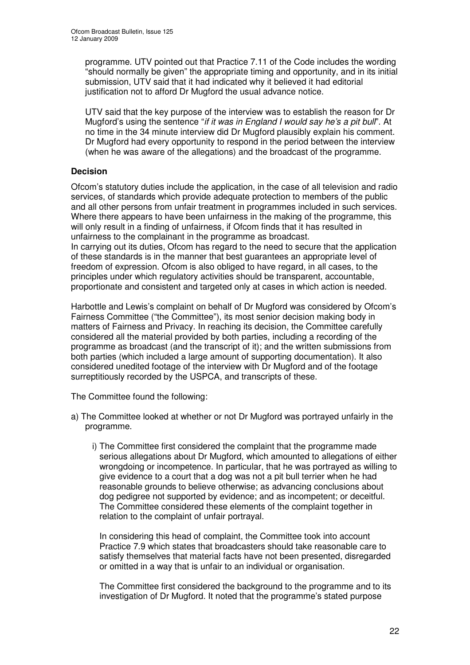programme. UTV pointed out that Practice 7.11 of the Code includes the wording "should normally be given" the appropriate timing and opportunity, and in its initial submission, UTV said that it had indicated why it believed it had editorial justification not to afford Dr Mugford the usual advance notice.

UTV said that the key purpose of the interview was to establish the reason for Dr Mugford's using the sentence "*if it was in England I would say he's a pit bull*". At no time in the 34 minute interview did Dr Mugford plausibly explain his comment. Dr Mugford had every opportunity to respond in the period between the interview (when he was aware of the allegations) and the broadcast of the programme.

#### **Decision**

Ofcom's statutory duties include the application, in the case of all television and radio services, of standards which provide adequate protection to members of the public and all other persons from unfair treatment in programmes included in such services. Where there appears to have been unfairness in the making of the programme, this will only result in a finding of unfairness, if Ofcom finds that it has resulted in unfairness to the complainant in the programme as broadcast.

In carrying out its duties, Ofcom has regard to the need to secure that the application of these standards is in the manner that best guarantees an appropriate level of freedom of expression. Ofcom is also obliged to have regard, in all cases, to the principles under which regulatory activities should be transparent, accountable, proportionate and consistent and targeted only at cases in which action is needed.

Harbottle and Lewis's complaint on behalf of Dr Mugford was considered by Ofcom's Fairness Committee ("the Committee"), its most senior decision making body in matters of Fairness and Privacy. In reaching its decision, the Committee carefully considered all the material provided by both parties, including a recording of the programme as broadcast (and the transcript of it); and the written submissions from both parties (which included a large amount of supporting documentation). It also considered unedited footage of the interview with Dr Mugford and of the footage surreptitiously recorded by the USPCA, and transcripts of these.

The Committee found the following:

- a) The Committee looked at whether or not Dr Mugford was portrayed unfairly in the programme.
	- i) The Committee first considered the complaint that the programme made serious allegations about Dr Mugford, which amounted to allegations of either wrongdoing or incompetence. In particular, that he was portrayed as willing to give evidence to a court that a dog was not a pit bull terrier when he had reasonable grounds to believe otherwise; as advancing conclusions about dog pedigree not supported by evidence; and as incompetent; or deceitful. The Committee considered these elements of the complaint together in relation to the complaint of unfair portrayal.

In considering this head of complaint, the Committee took into account Practice 7.9 which states that broadcasters should take reasonable care to satisfy themselves that material facts have not been presented, disregarded or omitted in a way that is unfair to an individual or organisation.

The Committee first considered the background to the programme and to its investigation of Dr Mugford. It noted that the programme's stated purpose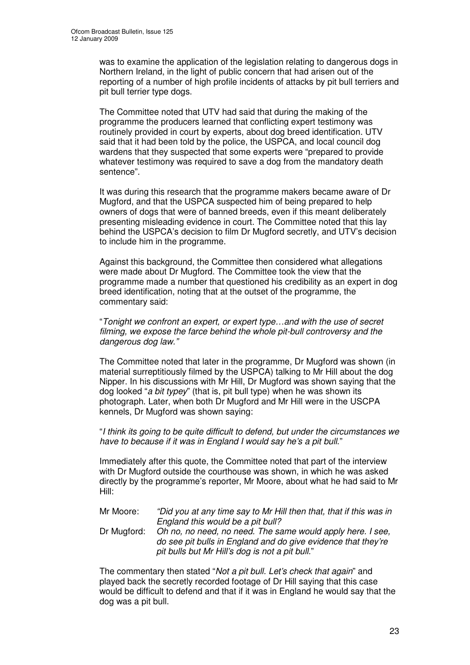was to examine the application of the legislation relating to dangerous dogs in Northern Ireland, in the light of public concern that had arisen out of the reporting of a number of high profile incidents of attacks by pit bull terriers and pit bull terrier type dogs.

The Committee noted that UTV had said that during the making of the programme the producers learned that conflicting expert testimony was routinely provided in court by experts, about dog breed identification. UTV said that it had been told by the police, the USPCA, and local council dog wardens that they suspected that some experts were "prepared to provide whatever testimony was required to save a dog from the mandatory death sentence".

It was during this research that the programme makers became aware of Dr Mugford, and that the USPCA suspected him of being prepared to help owners of dogs that were of banned breeds, even if this meant deliberately presenting misleading evidence in court. The Committee noted that this lay behind the USPCA's decision to film Dr Mugford secretly, and UTV's decision to include him in the programme.

Against this background, the Committee then considered what allegations were made about Dr Mugford. The Committee took the view that the programme made a number that questioned his credibility as an expert in dog breed identification, noting that at the outset of the programme, the commentary said:

"*Tonight we confront an expert, or expert type…and with the use of secret filming, we expose the farce behind the whole pit-bull controversy and the dangerous dog law."*

The Committee noted that later in the programme, Dr Mugford was shown (in material surreptitiously filmed by the USPCA) talking to Mr Hill about the dog Nipper. In his discussions with Mr Hill, Dr Mugford was shown saying that the dog looked "*a bit typey*" (that is, pit bull type) when he was shown its photograph. Later, when both Dr Mugford and Mr Hill were in the USCPA kennels, Dr Mugford was shown saying:

"*I think its going to be quite difficult to defend, but under the circumstances we have to because if it was in England I would say he's a pit bull*."

Immediately after this quote, the Committee noted that part of the interview with Dr Mugford outside the courthouse was shown, in which he was asked directly by the programme's reporter, Mr Moore, about what he had said to Mr Hill:

Mr Moore: *"Did you at any time say to Mr Hill then that, that if this was in England this would be a pit bull?* Dr Mugford: *Oh no, no need, no need. The same would apply here. I see, do see pit bulls in England and do give evidence that they're pit bulls but Mr Hill's dog is not a pit bull.*"

The commentary then stated "*Not a pit bull. Let's check that again*" and played back the secretly recorded footage of Dr Hill saying that this case would be difficult to defend and that if it was in England he would say that the dog was a pit bull.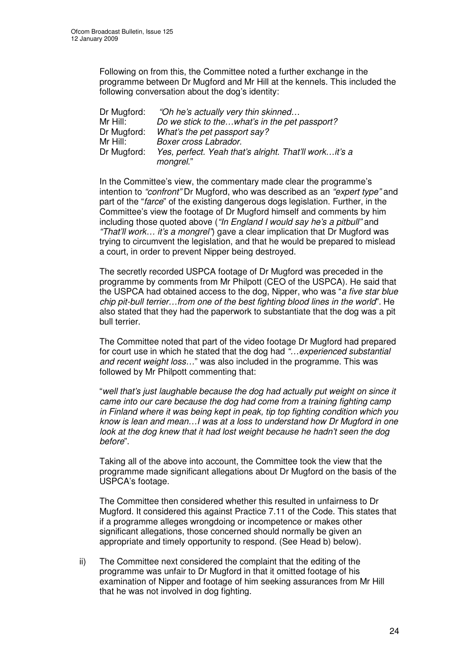Following on from this, the Committee noted a further exchange in the programme between Dr Mugford and Mr Hill at the kennels. This included the following conversation about the dog's identity:

| Dr Mugford: | "Oh he's actually very thin skinned                   |
|-------------|-------------------------------------------------------|
| Mr Hill:    | Do we stick to thewhat's in the pet passport?         |
| Dr Mugford: | What's the pet passport say?                          |
| Mr Hill:    | Boxer cross Labrador.                                 |
| Dr Mugford: | Yes, perfect. Yeah that's alright. That'll workit's a |
|             | mongrel."                                             |

In the Committee's view, the commentary made clear the programme's intention to *"confront"* Dr Mugford, who was described as an *"expert type"* and part of the "*farce*" of the existing dangerous dogs legislation. Further, in the Committee's view the footage of Dr Mugford himself and comments by him including those quoted above (*"In England I would say he's a pitbull"* and *"That'll work… it's a mongrel"*) gave a clear implication that Dr Mugford was trying to circumvent the legislation, and that he would be prepared to mislead a court, in order to prevent Nipper being destroyed.

The secretly recorded USPCA footage of Dr Mugford was preceded in the programme by comments from Mr Philpott (CEO of the USPCA). He said that the USPCA had obtained access to the dog, Nipper, who was "*a five star blue chip pit-bull terrier…from one of the best fighting blood lines in the world*". He also stated that they had the paperwork to substantiate that the dog was a pit bull terrier.

The Committee noted that part of the video footage Dr Mugford had prepared for court use in which he stated that the dog had *"…experienced substantial and recent weight loss…*" was also included in the programme. This was followed by Mr Philpott commenting that:

"*well that's just laughable because the dog had actually put weight on since it came into our care because the dog had come from a training fighting camp in Finland where it was being kept in peak, tip top fighting condition which you know is lean and mean…I was at a loss to understand how Dr Mugford in one look at the dog knew that it had lost weight because he hadn't seen the dog before*".

Taking all of the above into account, the Committee took the view that the programme made significant allegations about Dr Mugford on the basis of the USPCA's footage.

The Committee then considered whether this resulted in unfairness to Dr Mugford. It considered this against Practice 7.11 of the Code. This states that if a programme alleges wrongdoing or incompetence or makes other significant allegations, those concerned should normally be given an appropriate and timely opportunity to respond. (See Head b) below).

ii) The Committee next considered the complaint that the editing of the programme was unfair to Dr Mugford in that it omitted footage of his examination of Nipper and footage of him seeking assurances from Mr Hill that he was not involved in dog fighting.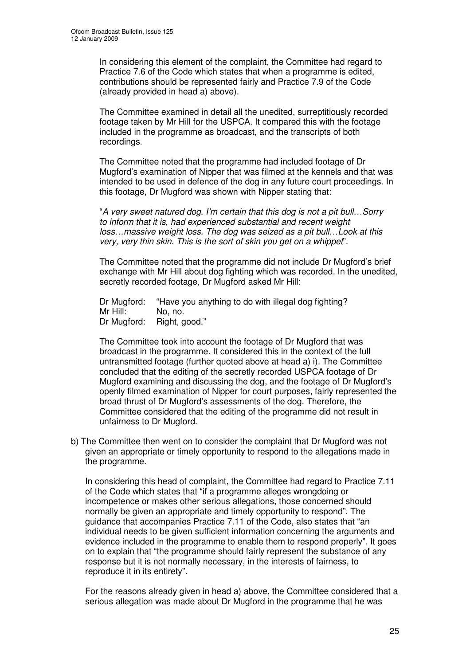In considering this element of the complaint, the Committee had regard to Practice 7.6 of the Code which states that when a programme is edited, contributions should be represented fairly and Practice 7.9 of the Code (already provided in head a) above).

The Committee examined in detail all the unedited, surreptitiously recorded footage taken by Mr Hill for the USPCA. It compared this with the footage included in the programme as broadcast, and the transcripts of both recordings.

The Committee noted that the programme had included footage of Dr Mugford's examination of Nipper that was filmed at the kennels and that was intended to be used in defence of the dog in any future court proceedings. In this footage, Dr Mugford was shown with Nipper stating that:

"*A very sweet natured dog. I'm certain that this dog is not a pit bull…Sorry to inform that it is, had experienced substantial and recent weight loss…massive weight loss. The dog was seized as a pit bull…Look at this very, very thin skin. This is the sort of skin you get on a whippet*".

The Committee noted that the programme did not include Dr Mugford's brief exchange with Mr Hill about dog fighting which was recorded. In the unedited, secretly recorded footage, Dr Mugford asked Mr Hill:

Dr Mugford: "Have you anything to do with illegal dog fighting? Mr Hill: No, no. Dr Mugford: Right, good."

The Committee took into account the footage of Dr Mugford that was broadcast in the programme. It considered this in the context of the full untransmitted footage (further quoted above at head a) i). The Committee concluded that the editing of the secretly recorded USPCA footage of Dr Mugford examining and discussing the dog, and the footage of Dr Mugford's openly filmed examination of Nipper for court purposes, fairly represented the broad thrust of Dr Mugford's assessments of the dog. Therefore, the Committee considered that the editing of the programme did not result in unfairness to Dr Mugford.

b) The Committee then went on to consider the complaint that Dr Mugford was not given an appropriate or timely opportunity to respond to the allegations made in the programme.

In considering this head of complaint, the Committee had regard to Practice 7.11 of the Code which states that "if a programme alleges wrongdoing or incompetence or makes other serious allegations, those concerned should normally be given an appropriate and timely opportunity to respond". The guidance that accompanies Practice 7.11 of the Code, also states that "an individual needs to be given sufficient information concerning the arguments and evidence included in the programme to enable them to respond properly". It goes on to explain that "the programme should fairly represent the substance of any response but it is not normally necessary, in the interests of fairness, to reproduce it in its entirety".

For the reasons already given in head a) above, the Committee considered that a serious allegation was made about Dr Mugford in the programme that he was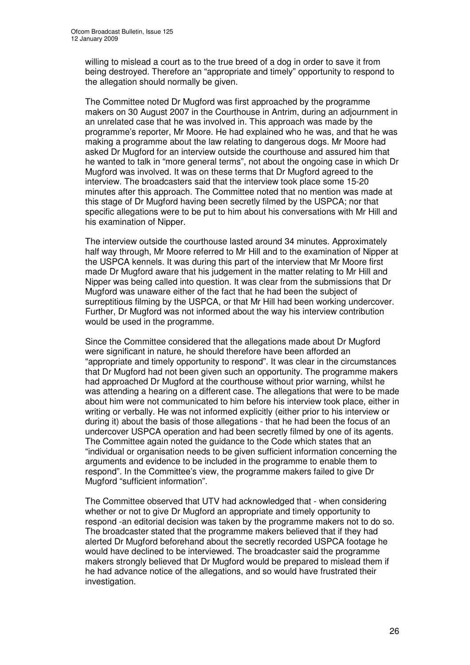willing to mislead a court as to the true breed of a dog in order to save it from being destroyed. Therefore an "appropriate and timely" opportunity to respond to the allegation should normally be given.

The Committee noted Dr Mugford was first approached by the programme makers on 30 August 2007 in the Courthouse in Antrim, during an adjournment in an unrelated case that he was involved in. This approach was made by the programme's reporter, Mr Moore. He had explained who he was, and that he was making a programme about the law relating to dangerous dogs. Mr Moore had asked Dr Mugford for an interview outside the courthouse and assured him that he wanted to talk in "more general terms", not about the ongoing case in which Dr Mugford was involved. It was on these terms that Dr Mugford agreed to the interview. The broadcasters said that the interview took place some 15-20 minutes after this approach. The Committee noted that no mention was made at this stage of Dr Mugford having been secretly filmed by the USPCA; nor that specific allegations were to be put to him about his conversations with Mr Hill and his examination of Nipper.

The interview outside the courthouse lasted around 34 minutes. Approximately half way through, Mr Moore referred to Mr Hill and to the examination of Nipper at the USPCA kennels. It was during this part of the interview that Mr Moore first made Dr Mugford aware that his judgement in the matter relating to Mr Hill and Nipper was being called into question. It was clear from the submissions that Dr Mugford was unaware either of the fact that he had been the subject of surreptitious filming by the USPCA, or that Mr Hill had been working undercover. Further, Dr Mugford was not informed about the way his interview contribution would be used in the programme.

Since the Committee considered that the allegations made about Dr Mugford were significant in nature, he should therefore have been afforded an "appropriate and timely opportunity to respond". It was clear in the circumstances that Dr Mugford had not been given such an opportunity. The programme makers had approached Dr Mugford at the courthouse without prior warning, whilst he was attending a hearing on a different case. The allegations that were to be made about him were not communicated to him before his interview took place, either in writing or verbally. He was not informed explicitly (either prior to his interview or during it) about the basis of those allegations - that he had been the focus of an undercover USPCA operation and had been secretly filmed by one of its agents. The Committee again noted the guidance to the Code which states that an "individual or organisation needs to be given sufficient information concerning the arguments and evidence to be included in the programme to enable them to respond". In the Committee's view, the programme makers failed to give Dr Mugford "sufficient information".

The Committee observed that UTV had acknowledged that - when considering whether or not to give Dr Mugford an appropriate and timely opportunity to respond -an editorial decision was taken by the programme makers not to do so. The broadcaster stated that the programme makers believed that if they had alerted Dr Mugford beforehand about the secretly recorded USPCA footage he would have declined to be interviewed. The broadcaster said the programme makers strongly believed that Dr Mugford would be prepared to mislead them if he had advance notice of the allegations, and so would have frustrated their investigation.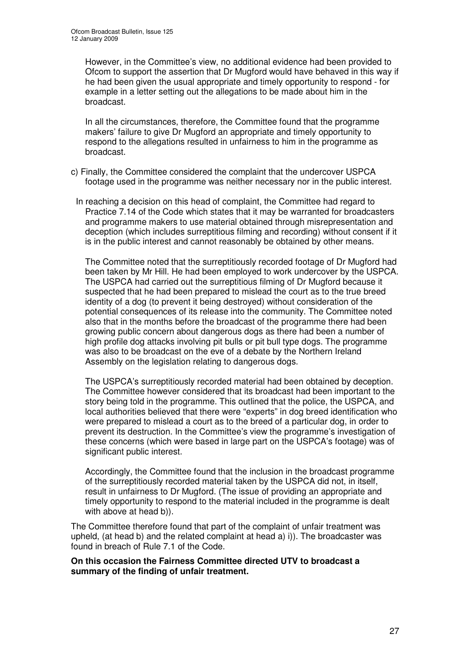However, in the Committee's view, no additional evidence had been provided to Ofcom to support the assertion that Dr Mugford would have behaved in this way if he had been given the usual appropriate and timely opportunity to respond - for example in a letter setting out the allegations to be made about him in the broadcast.

In all the circumstances, therefore, the Committee found that the programme makers' failure to give Dr Mugford an appropriate and timely opportunity to respond to the allegations resulted in unfairness to him in the programme as broadcast.

- c) Finally, the Committee considered the complaint that the undercover USPCA footage used in the programme was neither necessary nor in the public interest.
- In reaching a decision on this head of complaint, the Committee had regard to Practice 7.14 of the Code which states that it may be warranted for broadcasters and programme makers to use material obtained through misrepresentation and deception (which includes surreptitious filming and recording) without consent if it is in the public interest and cannot reasonably be obtained by other means.

The Committee noted that the surreptitiously recorded footage of Dr Mugford had been taken by Mr Hill. He had been employed to work undercover by the USPCA. The USPCA had carried out the surreptitious filming of Dr Mugford because it suspected that he had been prepared to mislead the court as to the true breed identity of a dog (to prevent it being destroyed) without consideration of the potential consequences of its release into the community. The Committee noted also that in the months before the broadcast of the programme there had been growing public concern about dangerous dogs as there had been a number of high profile dog attacks involving pit bulls or pit bull type dogs. The programme was also to be broadcast on the eve of a debate by the Northern Ireland Assembly on the legislation relating to dangerous dogs.

The USPCA's surreptitiously recorded material had been obtained by deception. The Committee however considered that its broadcast had been important to the story being told in the programme. This outlined that the police, the USPCA, and local authorities believed that there were "experts" in dog breed identification who were prepared to mislead a court as to the breed of a particular dog, in order to prevent its destruction. In the Committee's view the programme's investigation of these concerns (which were based in large part on the USPCA's footage) was of significant public interest.

Accordingly, the Committee found that the inclusion in the broadcast programme of the surreptitiously recorded material taken by the USPCA did not, in itself, result in unfairness to Dr Mugford. (The issue of providing an appropriate and timely opportunity to respond to the material included in the programme is dealt with above at head b)).

The Committee therefore found that part of the complaint of unfair treatment was upheld, (at head b) and the related complaint at head a) i)). The broadcaster was found in breach of Rule 7.1 of the Code.

**On this occasion the Fairness Committee directed UTV to broadcast a summary of the finding of unfair treatment.**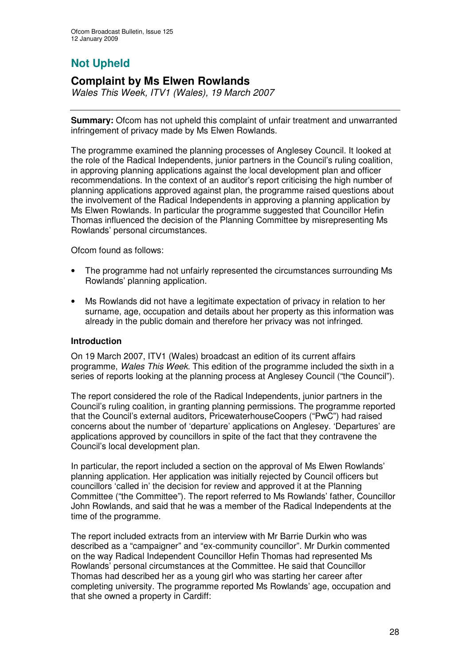## **Not Upheld**

## **Complaint by Ms Elwen Rowlands**

*Wales This Week, ITV1 (Wales), 19 March 2007*

**Summary:** Ofcom has not upheld this complaint of unfair treatment and unwarranted infringement of privacy made by Ms Elwen Rowlands.

The programme examined the planning processes of Anglesey Council. It looked at the role of the Radical Independents, junior partners in the Council's ruling coalition, in approving planning applications against the local development plan and officer recommendations. In the context of an auditor's report criticising the high number of planning applications approved against plan, the programme raised questions about the involvement of the Radical Independents in approving a planning application by Ms Elwen Rowlands. In particular the programme suggested that Councillor Hefin Thomas influenced the decision of the Planning Committee by misrepresenting Ms Rowlands' personal circumstances.

Ofcom found as follows:

- The programme had not unfairly represented the circumstances surrounding Ms Rowlands' planning application.
- Ms Rowlands did not have a legitimate expectation of privacy in relation to her surname, age, occupation and details about her property as this information was already in the public domain and therefore her privacy was not infringed.

#### **Introduction**

On 19 March 2007, ITV1 (Wales) broadcast an edition of its current affairs programme, *Wales This Week*. This edition of the programme included the sixth in a series of reports looking at the planning process at Anglesey Council ("the Council").

The report considered the role of the Radical Independents, junior partners in the Council's ruling coalition, in granting planning permissions. The programme reported that the Council's external auditors, PricewaterhouseCoopers ("PwC") had raised concerns about the number of 'departure' applications on Anglesey. 'Departures' are applications approved by councillors in spite of the fact that they contravene the Council's local development plan.

In particular, the report included a section on the approval of Ms Elwen Rowlands' planning application. Her application was initially rejected by Council officers but councillors 'called in' the decision for review and approved it at the Planning Committee ("the Committee"). The report referred to Ms Rowlands' father, Councillor John Rowlands, and said that he was a member of the Radical Independents at the time of the programme.

The report included extracts from an interview with Mr Barrie Durkin who was described as a "campaigner" and "ex-community councillor". Mr Durkin commented on the way Radical Independent Councillor Hefin Thomas had represented Ms Rowlands' personal circumstances at the Committee. He said that Councillor Thomas had described her as a young girl who was starting her career after completing university. The programme reported Ms Rowlands' age, occupation and that she owned a property in Cardiff: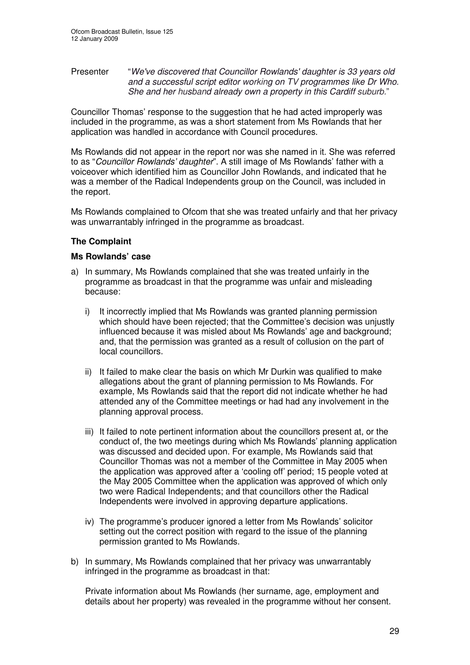#### Presenter "*We've discovered that Councillor Rowlands'daughter is 33 years old and a successful script editor working on TV programmes like Dr Who. She and her husband already own a property in this Cardiff suburb.*"

Councillor Thomas' response to the suggestion that he had acted improperly was included in the programme, as was a short statement from Ms Rowlands that her application was handled in accordance with Council procedures.

Ms Rowlands did not appear in the report nor was she named in it. She was referred to as "*Councillor Rowlands' daughter*". A still image of Ms Rowlands' father with a voiceover which identified him as Councillor John Rowlands, and indicated that he was a member of the Radical Independents group on the Council, was included in the report.

Ms Rowlands complained to Ofcom that she was treated unfairly and that her privacy was unwarrantably infringed in the programme as broadcast.

#### **The Complaint**

#### **Ms Rowlands' case**

- a) In summary, Ms Rowlands complained that she was treated unfairly in the programme as broadcast in that the programme was unfair and misleading because:
	- i) It incorrectly implied that Ms Rowlands was granted planning permission which should have been rejected; that the Committee's decision was unjustly influenced because it was misled about Ms Rowlands' age and background; and, that the permission was granted as a result of collusion on the part of local councillors.
	- ii) It failed to make clear the basis on which Mr Durkin was qualified to make allegations about the grant of planning permission to Ms Rowlands. For example, Ms Rowlands said that the report did not indicate whether he had attended any of the Committee meetings or had had any involvement in the planning approval process.
	- iii) It failed to note pertinent information about the councillors present at, or the conduct of, the two meetings during which Ms Rowlands' planning application was discussed and decided upon. For example, Ms Rowlands said that Councillor Thomas was not a member of the Committee in May 2005 when the application was approved after a 'cooling off' period; 15 people voted at the May 2005 Committee when the application was approved of which only two were Radical Independents; and that councillors other the Radical Independents were involved in approving departure applications.
	- iv) The programme's producer ignored a letter from Ms Rowlands' solicitor setting out the correct position with regard to the issue of the planning permission granted to Ms Rowlands.
- b) In summary, Ms Rowlands complained that her privacy was unwarrantably infringed in the programme as broadcast in that:

Private information about Ms Rowlands (her surname, age, employment and details about her property) was revealed in the programme without her consent.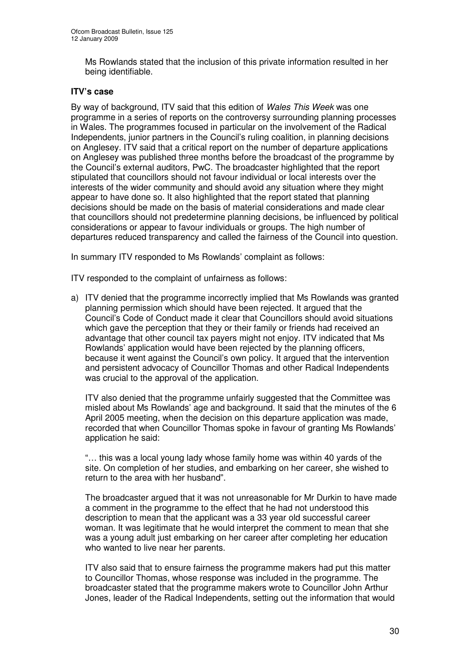Ms Rowlands stated that the inclusion of this private information resulted in her being identifiable.

#### **ITV's case**

By way of background, ITV said that this edition of *Wales This Week* was one programme in a series of reports on the controversy surrounding planning processes in Wales. The programmes focused in particular on the involvement of the Radical Independents, junior partners in the Council's ruling coalition, in planning decisions on Anglesey. ITV said that a critical report on the number of departure applications on Anglesey was published three months before the broadcast of the programme by the Council's external auditors, PwC. The broadcaster highlighted that the report stipulated that councillors should not favour individual or local interests over the interests of the wider community and should avoid any situation where they might appear to have done so. It also highlighted that the report stated that planning decisions should be made on the basis of material considerations and made clear that councillors should not predetermine planning decisions, be influenced by political considerations or appear to favour individuals or groups. The high number of departures reduced transparency and called the fairness of the Council into question.

In summary ITV responded to Ms Rowlands' complaint as follows:

ITV responded to the complaint of unfairness as follows:

a) ITV denied that the programme incorrectly implied that Ms Rowlands was granted planning permission which should have been rejected. It argued that the Council's Code of Conduct made it clear that Councillors should avoid situations which gave the perception that they or their family or friends had received an advantage that other council tax payers might not enjoy. ITV indicated that Ms Rowlands' application would have been rejected by the planning officers, because it went against the Council's own policy. It argued that the intervention and persistent advocacy of Councillor Thomas and other Radical Independents was crucial to the approval of the application.

ITV also denied that the programme unfairly suggested that the Committee was misled about Ms Rowlands' age and background. It said that the minutes of the 6 April 2005 meeting, when the decision on this departure application was made, recorded that when Councillor Thomas spoke in favour of granting Ms Rowlands' application he said:

"… this was a local young lady whose family home was within 40 yards of the site. On completion of her studies, and embarking on her career, she wished to return to the area with her husband".

The broadcaster argued that it was not unreasonable for Mr Durkin to have made a comment in the programme to the effect that he had not understood this description to mean that the applicant was a 33 year old successful career woman. It was legitimate that he would interpret the comment to mean that she was a young adult just embarking on her career after completing her education who wanted to live near her parents.

ITV also said that to ensure fairness the programme makers had put this matter to Councillor Thomas, whose response was included in the programme. The broadcaster stated that the programme makers wrote to Councillor John Arthur Jones, leader of the Radical Independents, setting out the information that would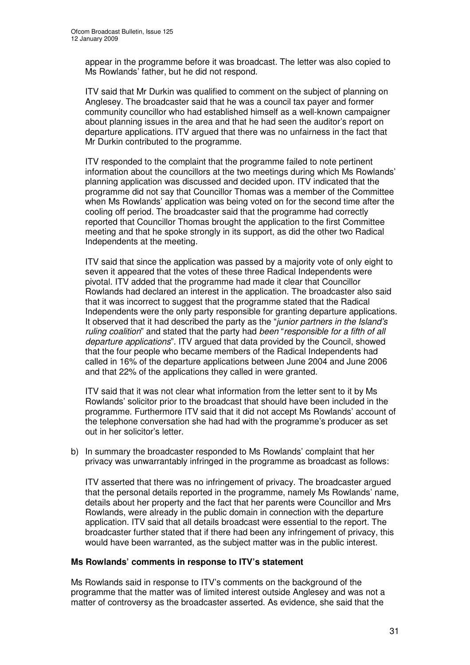appear in the programme before it was broadcast. The letter was also copied to Ms Rowlands' father, but he did not respond.

ITV said that Mr Durkin was qualified to comment on the subject of planning on Anglesey. The broadcaster said that he was a council tax payer and former community councillor who had established himself as a well-known campaigner about planning issues in the area and that he had seen the auditor's report on departure applications. ITV argued that there was no unfairness in the fact that Mr Durkin contributed to the programme.

ITV responded to the complaint that the programme failed to note pertinent information about the councillors at the two meetings during which Ms Rowlands' planning application was discussed and decided upon. ITV indicated that the programme did not say that Councillor Thomas was a member of the Committee when Ms Rowlands' application was being voted on for the second time after the cooling off period. The broadcaster said that the programme had correctly reported that Councillor Thomas brought the application to the first Committee meeting and that he spoke strongly in its support, as did the other two Radical Independents at the meeting.

ITV said that since the application was passed by a majority vote of only eight to seven it appeared that the votes of these three Radical Independents were pivotal. ITV added that the programme had made it clear that Councillor Rowlands had declared an interest in the application. The broadcaster also said that it was incorrect to suggest that the programme stated that the Radical Independents were the only party responsible for granting departure applications. It observed that it had described the party as the "*junior partners in the Island's ruling coalition*" and stated that the party had *been* "*responsible for a fifth of all departure applications*". ITV argued that data provided by the Council, showed that the four people who became members of the Radical Independents had called in 16% of the departure applications between June 2004 and June 2006 and that 22% of the applications they called in were granted.

ITV said that it was not clear what information from the letter sent to it by Ms Rowlands' solicitor prior to the broadcast that should have been included in the programme. Furthermore ITV said that it did not accept Ms Rowlands' account of the telephone conversation she had had with the programme's producer as set out in her solicitor's letter.

b) In summary the broadcaster responded to Ms Rowlands' complaint that her privacy was unwarrantably infringed in the programme as broadcast as follows:

ITV asserted that there was no infringement of privacy. The broadcaster argued that the personal details reported in the programme, namely Ms Rowlands' name, details about her property and the fact that her parents were Councillor and Mrs Rowlands, were already in the public domain in connection with the departure application. ITV said that all details broadcast were essential to the report. The broadcaster further stated that if there had been any infringement of privacy, this would have been warranted, as the subject matter was in the public interest.

#### **Ms Rowlands' comments in response to ITV's statement**

Ms Rowlands said in response to ITV's comments on the background of the programme that the matter was of limited interest outside Anglesey and was not a matter of controversy as the broadcaster asserted. As evidence, she said that the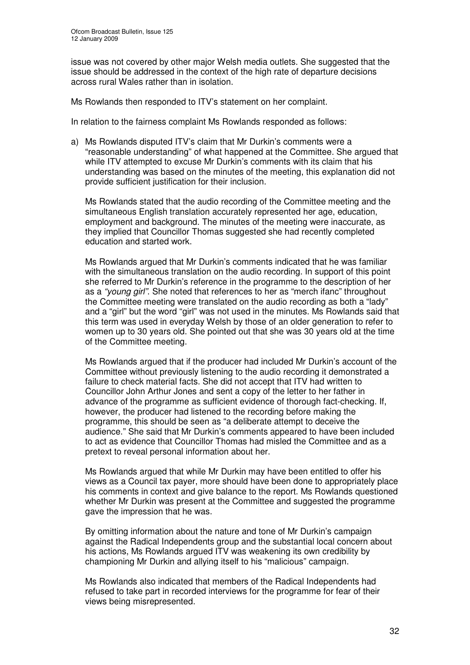issue was not covered by other major Welsh media outlets. She suggested that the issue should be addressed in the context of the high rate of departure decisions across rural Wales rather than in isolation.

Ms Rowlands then responded to ITV's statement on her complaint.

In relation to the fairness complaint Ms Rowlands responded as follows:

a) Ms Rowlands disputed ITV's claim that Mr Durkin's comments were a "reasonable understanding" of what happened at the Committee. She argued that while ITV attempted to excuse Mr Durkin's comments with its claim that his understanding was based on the minutes of the meeting, this explanation did not provide sufficient justification for their inclusion.

Ms Rowlands stated that the audio recording of the Committee meeting and the simultaneous English translation accurately represented her age, education, employment and background. The minutes of the meeting were inaccurate, as they implied that Councillor Thomas suggested she had recently completed education and started work.

Ms Rowlands argued that Mr Durkin's comments indicated that he was familiar with the simultaneous translation on the audio recording. In support of this point she referred to Mr Durkin's reference in the programme to the description of her as a *"young girl"*. She noted that references to her as "merch ifanc" throughout the Committee meeting were translated on the audio recording as both a "lady" and a "girl" but the word "girl" was not used in the minutes. Ms Rowlands said that this term was used in everyday Welsh by those of an older generation to refer to women up to 30 years old. She pointed out that she was 30 years old at the time of the Committee meeting.

Ms Rowlands argued that if the producer had included Mr Durkin's account of the Committee without previously listening to the audio recording it demonstrated a failure to check material facts. She did not accept that ITV had written to Councillor John Arthur Jones and sent a copy of the letter to her father in advance of the programme as sufficient evidence of thorough fact-checking. If, however, the producer had listened to the recording before making the programme, this should be seen as "a deliberate attempt to deceive the audience." She said that Mr Durkin's comments appeared to have been included to act as evidence that Councillor Thomas had misled the Committee and as a pretext to reveal personal information about her.

Ms Rowlands argued that while Mr Durkin may have been entitled to offer his views as a Council tax payer, more should have been done to appropriately place his comments in context and give balance to the report. Ms Rowlands questioned whether Mr Durkin was present at the Committee and suggested the programme gave the impression that he was.

By omitting information about the nature and tone of Mr Durkin's campaign against the Radical Independents group and the substantial local concern about his actions, Ms Rowlands argued ITV was weakening its own credibility by championing Mr Durkin and allying itself to his "malicious" campaign.

Ms Rowlands also indicated that members of the Radical Independents had refused to take part in recorded interviews for the programme for fear of their views being misrepresented.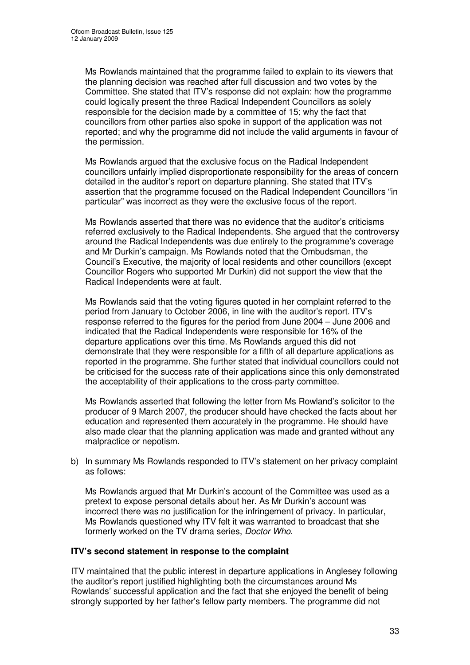Ms Rowlands maintained that the programme failed to explain to its viewers that the planning decision was reached after full discussion and two votes by the Committee. She stated that ITV's response did not explain: how the programme could logically present the three Radical Independent Councillors as solely responsible for the decision made by a committee of 15; why the fact that councillors from other parties also spoke in support of the application was not reported; and why the programme did not include the valid arguments in favour of the permission.

Ms Rowlands argued that the exclusive focus on the Radical Independent councillors unfairly implied disproportionate responsibility for the areas of concern detailed in the auditor's report on departure planning. She stated that ITV's assertion that the programme focused on the Radical Independent Councillors "in particular" was incorrect as they were the exclusive focus of the report.

Ms Rowlands asserted that there was no evidence that the auditor's criticisms referred exclusively to the Radical Independents. She argued that the controversy around the Radical Independents was due entirely to the programme's coverage and Mr Durkin's campaign. Ms Rowlands noted that the Ombudsman, the Council's Executive, the majority of local residents and other councillors (except Councillor Rogers who supported Mr Durkin) did not support the view that the Radical Independents were at fault.

Ms Rowlands said that the voting figures quoted in her complaint referred to the period from January to October 2006, in line with the auditor's report. ITV's response referred to the figures for the period from June 2004 – June 2006 and indicated that the Radical Independents were responsible for 16% of the departure applications over this time. Ms Rowlands argued this did not demonstrate that they were responsible for a fifth of all departure applications as reported in the programme. She further stated that individual councillors could not be criticised for the success rate of their applications since this only demonstrated the acceptability of their applications to the cross-party committee.

Ms Rowlands asserted that following the letter from Ms Rowland's solicitor to the producer of 9 March 2007, the producer should have checked the facts about her education and represented them accurately in the programme. He should have also made clear that the planning application was made and granted without any malpractice or nepotism.

b) In summary Ms Rowlands responded to ITV's statement on her privacy complaint as follows:

Ms Rowlands argued that Mr Durkin's account of the Committee was used as a pretext to expose personal details about her. As Mr Durkin's account was incorrect there was no justification for the infringement of privacy. In particular, Ms Rowlands questioned why ITV felt it was warranted to broadcast that she formerly worked on the TV drama series, *Doctor Who*.

#### **ITV's second statement in response to the complaint**

ITV maintained that the public interest in departure applications in Anglesey following the auditor's report justified highlighting both the circumstances around Ms Rowlands' successful application and the fact that she enjoyed the benefit of being strongly supported by her father's fellow party members. The programme did not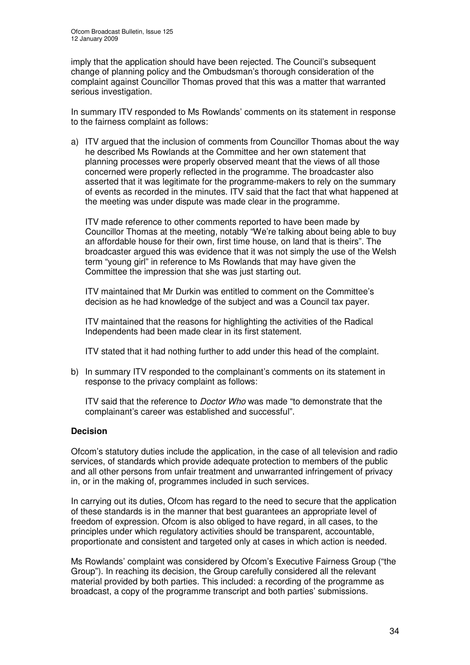imply that the application should have been rejected. The Council's subsequent change of planning policy and the Ombudsman's thorough consideration of the complaint against Councillor Thomas proved that this was a matter that warranted serious investigation.

In summary ITV responded to Ms Rowlands' comments on its statement in response to the fairness complaint as follows:

a) ITV argued that the inclusion of comments from Councillor Thomas about the way he described Ms Rowlands at the Committee and her own statement that planning processes were properly observed meant that the views of all those concerned were properly reflected in the programme. The broadcaster also asserted that it was legitimate for the programme-makers to rely on the summary of events as recorded in the minutes. ITV said that the fact that what happened at the meeting was under dispute was made clear in the programme.

ITV made reference to other comments reported to have been made by Councillor Thomas at the meeting, notably "We're talking about being able to buy an affordable house for their own, first time house, on land that is theirs". The broadcaster argued this was evidence that it was not simply the use of the Welsh term "young girl" in reference to Ms Rowlands that may have given the Committee the impression that she was just starting out.

ITV maintained that Mr Durkin was entitled to comment on the Committee's decision as he had knowledge of the subject and was a Council tax payer.

ITV maintained that the reasons for highlighting the activities of the Radical Independents had been made clear in its first statement.

ITV stated that it had nothing further to add under this head of the complaint.

b) In summary ITV responded to the complainant's comments on its statement in response to the privacy complaint as follows:

ITV said that the reference to *Doctor Who* was made "to demonstrate that the complainant's career was established and successful".

#### **Decision**

Ofcom's statutory duties include the application, in the case of all television and radio services, of standards which provide adequate protection to members of the public and all other persons from unfair treatment and unwarranted infringement of privacy in, or in the making of, programmes included in such services.

In carrying out its duties, Ofcom has regard to the need to secure that the application of these standards is in the manner that best guarantees an appropriate level of freedom of expression. Ofcom is also obliged to have regard, in all cases, to the principles under which regulatory activities should be transparent, accountable, proportionate and consistent and targeted only at cases in which action is needed.

Ms Rowlands' complaint was considered by Ofcom's Executive Fairness Group ("the Group"). In reaching its decision, the Group carefully considered all the relevant material provided by both parties. This included: a recording of the programme as broadcast, a copy of the programme transcript and both parties' submissions.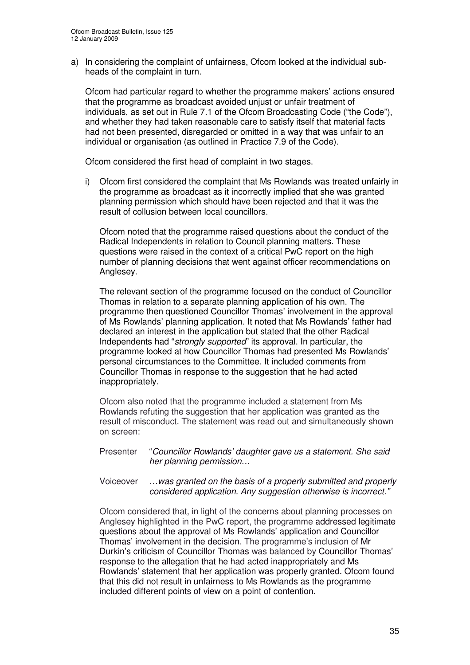a) In considering the complaint of unfairness, Ofcom looked at the individual subheads of the complaint in turn.

Ofcom had particular regard to whether the programme makers' actions ensured that the programme as broadcast avoided unjust or unfair treatment of individuals, as set out in Rule 7.1 of the Ofcom Broadcasting Code ("the Code"), and whether they had taken reasonable care to satisfy itself that material facts had not been presented, disregarded or omitted in a way that was unfair to an individual or organisation (as outlined in Practice 7.9 of the Code).

Ofcom considered the first head of complaint in two stages.

i) Ofcom first considered the complaint that Ms Rowlands was treated unfairly in the programme as broadcast as it incorrectly implied that she was granted planning permission which should have been rejected and that it was the result of collusion between local councillors.

Ofcom noted that the programme raised questions about the conduct of the Radical Independents in relation to Council planning matters. These questions were raised in the context of a critical PwC report on the high number of planning decisions that went against officer recommendations on Anglesey.

The relevant section of the programme focused on the conduct of Councillor Thomas in relation to a separate planning application of his own. The programme then questioned Councillor Thomas' involvement in the approval of Ms Rowlands' planning application. It noted that Ms Rowlands' father had declared an interest in the application but stated that the other Radical Independents had "*strongly supported*" its approval. In particular, the programme looked at how Councillor Thomas had presented Ms Rowlands' personal circumstances to the Committee. It included comments from Councillor Thomas in response to the suggestion that he had acted inappropriately.

Ofcom also noted that the programme included a statement from Ms Rowlands refuting the suggestion that her application was granted as the result of misconduct. The statement was read out and simultaneously shown on screen:

- Presenter "*Councillor Rowlands' daughter gave us a statement. She said her planning permission…*
- Voiceover *…was granted on the basis of a properly submitted and properly considered application. Any suggestion otherwise is incorrect."*

Ofcom considered that, in light of the concerns about planning processes on Anglesey highlighted in the PwC report, the programme addressed legitimate questions about the approval of Ms Rowlands' application and Councillor Thomas' involvement in the decision. The programme's inclusion of Mr Durkin's criticism of Councillor Thomas was balanced by Councillor Thomas' response to the allegation that he had acted inappropriately and Ms Rowlands' statement that her application was properly granted. Ofcom found that this did not result in unfairness to Ms Rowlands as the programme included different points of view on a point of contention.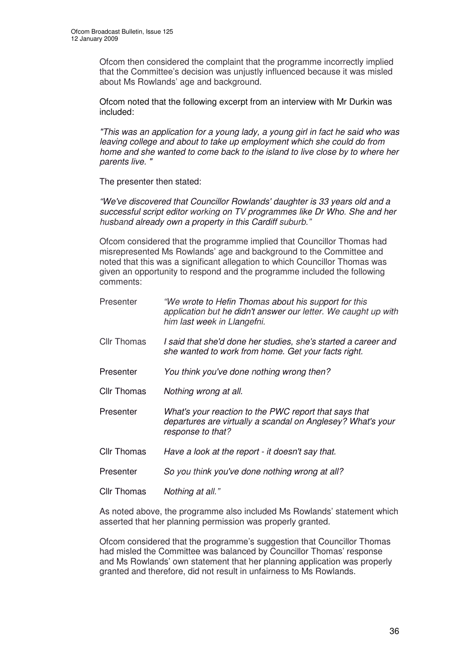Ofcom then considered the complaint that the programme incorrectly implied that the Committee's decision was unjustly influenced because it was misled about Ms Rowlands' age and background.

Ofcom noted that the following excerpt from an interview with Mr Durkin was included:

*"This was an application for a young lady, a young girl in fact he said who was leaving college and about to take up employment which she could do from home and she wanted to come back to the island to live close by to where her parents live. "*

The presenter then stated:

*"We've discovered that Councillor Rowlands'daughter is 33 years old and a successful script editor working on TV programmes like Dr Who. She and her husband already own a property in this Cardiff suburb."*

Ofcom considered that the programme implied that Councillor Thomas had misrepresented Ms Rowlands' age and background to the Committee and noted that this was a significant allegation to which Councillor Thomas was given an opportunity to respond and the programme included the following comments:

| Presenter          | "We wrote to Hefin Thomas about his support for this<br>application but he didn't answer our letter. We caught up with<br>him last week in Llangefni. |
|--------------------|-------------------------------------------------------------------------------------------------------------------------------------------------------|
| <b>Cllr Thomas</b> | I said that she'd done her studies, she's started a career and<br>she wanted to work from home. Get your facts right.                                 |
| Presenter          | You think you've done nothing wrong then?                                                                                                             |
| <b>Cllr Thomas</b> | Nothing wrong at all.                                                                                                                                 |
| Presenter          | What's your reaction to the PWC report that says that<br>departures are virtually a scandal on Anglesey? What's your<br>response to that?             |
| <b>Cllr Thomas</b> | Have a look at the report - it doesn't say that.                                                                                                      |
| Presenter          | So you think you've done nothing wrong at all?                                                                                                        |
| Cllr Thomas        | Nothing at all."                                                                                                                                      |

As noted above, the programme also included Ms Rowlands' statement which asserted that her planning permission was properly granted.

Ofcom considered that the programme's suggestion that Councillor Thomas had misled the Committee was balanced by Councillor Thomas' response and Ms Rowlands' own statement that her planning application was properly granted and therefore, did not result in unfairness to Ms Rowlands.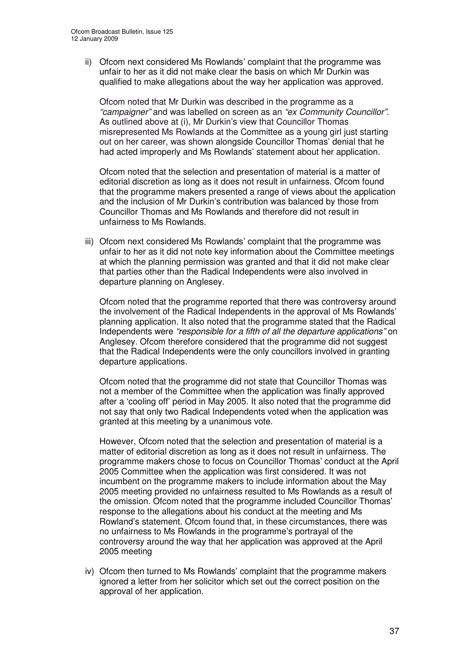ii) Ofcom next considered Ms Rowlands' complaint that the programme was unfair to her as it did not make clear the basis on which Mr Durkin was qualified to make allegations about the way her application was approved.

Ofcom noted that Mr Durkin was described in the programme as a *"campaigner"* and was labelled on screen as an *"ex Community Councillor"*. As outlined above at (i), Mr Durkin's view that Councillor Thomas misrepresented Ms Rowlands at the Committee as a young girl just starting out on her career, was shown alongside Councillor Thomas' denial that he had acted improperly and Ms Rowlands' statement about her application.

Ofcom noted that the selection and presentation of material is a matter of editorial discretion as long as it does not result in unfairness. Ofcom found that the programme makers presented a range of views about the application and the inclusion of Mr Durkin's contribution was balanced by those from Councillor Thomas and Ms Rowlands and therefore did not result in unfairness to Ms Rowlands.

iii) Ofcom next considered Ms Rowlands' complaint that the programme was unfair to her as it did not note key information about the Committee meetings at which the planning permission was granted and that it did not make clear that parties other than the Radical Independents were also involved in departure planning on Anglesey.

Ofcom noted that the programme reported that there was controversy around the involvement of the Radical Independents in the approval of Ms Rowlands' planning application. It also noted that the programme stated that the Radical Independents were *"responsible for a fifth of all the departure applications"* on Anglesey. Ofcom therefore considered that the programme did not suggest that the Radical Independents were the only councillors involved in granting departure applications.

Ofcom noted that the programme did not state that Councillor Thomas was not a member of the Committee when the application was finally approved after a 'cooling off' period in May 2005. It also noted that the programme did not say that only two Radical Independents voted when the application was granted at this meeting by a unanimous vote.

However, Ofcom noted that the selection and presentation of material is a matter of editorial discretion as long as it does not result in unfairness. The programme makers chose to focus on Councillor Thomas' conduct at the April 2005 Committee when the application was first considered. It was not incumbent on the programme makers to include information about the May 2005 meeting provided no unfairness resulted to Ms Rowlands as a result of the omission. Ofcom noted that the programme included Councillor Thomas' response to the allegations about his conduct at the meeting and Ms Rowland's statement. Ofcom found that, in these circumstances, there was no unfairness to Ms Rowlands in the programme's portrayal of the controversy around the way that her application was approved at the April 2005 meeting

iv) Ofcom then turned to Ms Rowlands' complaint that the programme makers ignored a letter from her solicitor which set out the correct position on the approval of her application.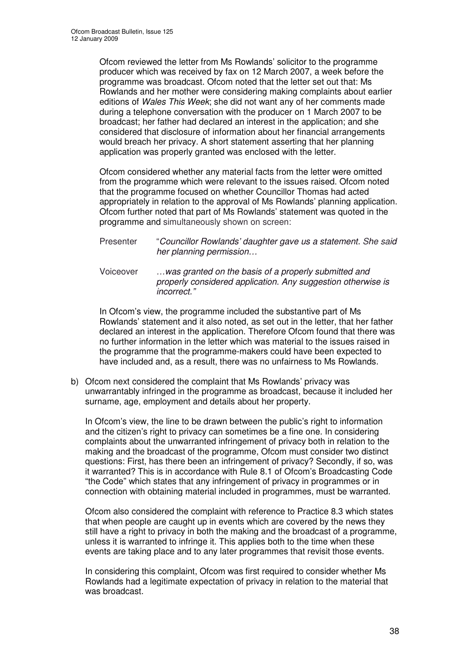Ofcom reviewed the letter from Ms Rowlands' solicitor to the programme producer which was received by fax on 12 March 2007, a week before the programme was broadcast. Ofcom noted that the letter set out that: Ms Rowlands and her mother were considering making complaints about earlier editions of *Wales This Week*; she did not want any of her comments made during a telephone conversation with the producer on 1 March 2007 to be broadcast; her father had declared an interest in the application; and she considered that disclosure of information about her financial arrangements would breach her privacy. A short statement asserting that her planning application was properly granted was enclosed with the letter.

Ofcom considered whether any material facts from the letter were omitted from the programme which were relevant to the issues raised. Ofcom noted that the programme focused on whether Councillor Thomas had acted appropriately in relation to the approval of Ms Rowlands' planning application. Ofcom further noted that part of Ms Rowlands' statement was quoted in the programme and simultaneously shown on screen:

- Presenter "*Councillor Rowlands' daughter gave us a statement. She said her planning permission…*
- Voiceover *…was granted on the basis of a properly submitted and properly considered application. Any suggestion otherwise is incorrect."*

In Ofcom's view, the programme included the substantive part of Ms Rowlands' statement and it also noted, as set out in the letter, that her father declared an interest in the application. Therefore Ofcom found that there was no further information in the letter which was material to the issues raised in the programme that the programme-makers could have been expected to have included and, as a result, there was no unfairness to Ms Rowlands.

b) Ofcom next considered the complaint that Ms Rowlands' privacy was unwarrantably infringed in the programme as broadcast, because it included her surname, age, employment and details about her property.

In Ofcom's view, the line to be drawn between the public's right to information and the citizen's right to privacy can sometimes be a fine one. In considering complaints about the unwarranted infringement of privacy both in relation to the making and the broadcast of the programme, Ofcom must consider two distinct questions: First, has there been an infringement of privacy? Secondly, if so, was it warranted? This is in accordance with Rule 8.1 of Ofcom's Broadcasting Code "the Code" which states that any infringement of privacy in programmes or in connection with obtaining material included in programmes, must be warranted.

Ofcom also considered the complaint with reference to Practice 8.3 which states that when people are caught up in events which are covered by the news they still have a right to privacy in both the making and the broadcast of a programme, unless it is warranted to infringe it. This applies both to the time when these events are taking place and to any later programmes that revisit those events.

In considering this complaint, Ofcom was first required to consider whether Ms Rowlands had a legitimate expectation of privacy in relation to the material that was broadcast.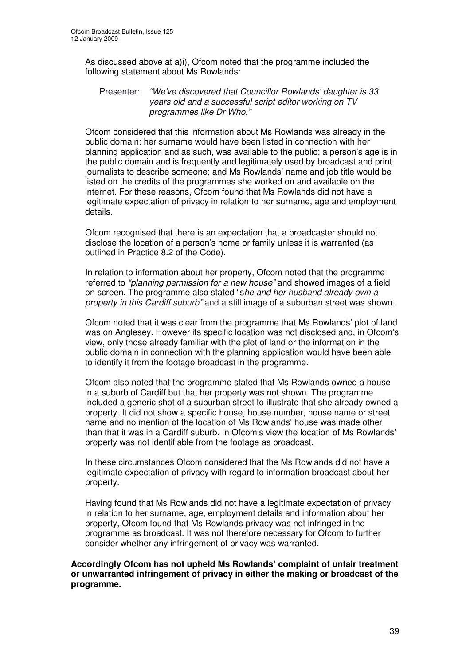As discussed above at a)i), Ofcom noted that the programme included the following statement about Ms Rowlands:

#### Presenter: *"We've discovered that Councillor Rowlands'daughter is 33 years old and a successful script editor working on TV programmes like Dr Who."*

Ofcom considered that this information about Ms Rowlands was already in the public domain: her surname would have been listed in connection with her planning application and as such, was available to the public; a person's age is in the public domain and is frequently and legitimately used by broadcast and print journalists to describe someone; and Ms Rowlands' name and job title would be listed on the credits of the programmes she worked on and available on the internet. For these reasons, Ofcom found that Ms Rowlands did not have a legitimate expectation of privacy in relation to her surname, age and employment details.

Ofcom recognised that there is an expectation that a broadcaster should not disclose the location of a person's home or family unless it is warranted (as outlined in Practice 8.2 of the Code).

In relation to information about her property, Ofcom noted that the programme referred to *"planning permission for a new house"* and showed images of a field on screen. The programme also stated "s*he and her husband already own a property in this Cardiff suburb"* and a still image of a suburban street was shown.

Ofcom noted that it was clear from the programme that Ms Rowlands' plot of land was on Anglesey. However its specific location was not disclosed and, in Ofcom's view, only those already familiar with the plot of land or the information in the public domain in connection with the planning application would have been able to identify it from the footage broadcast in the programme.

Ofcom also noted that the programme stated that Ms Rowlands owned a house in a suburb of Cardiff but that her property was not shown. The programme included a generic shot of a suburban street to illustrate that she already owned a property. It did not show a specific house, house number, house name or street name and no mention of the location of Ms Rowlands' house was made other than that it was in a Cardiff suburb. In Ofcom's view the location of Ms Rowlands' property was not identifiable from the footage as broadcast.

In these circumstances Ofcom considered that the Ms Rowlands did not have a legitimate expectation of privacy with regard to information broadcast about her property.

Having found that Ms Rowlands did not have a legitimate expectation of privacy in relation to her surname, age, employment details and information about her property, Ofcom found that Ms Rowlands privacy was not infringed in the programme as broadcast. It was not therefore necessary for Ofcom to further consider whether any infringement of privacy was warranted.

**Accordingly Ofcom has not upheld Ms Rowlands' complaint of unfair treatment or unwarranted infringement of privacy in either the making or broadcast of the programme.**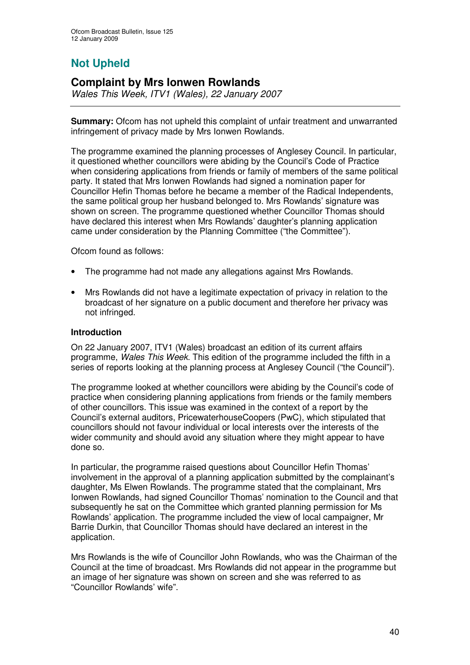## **Not Upheld**

## **Complaint by Mrs Ionwen Rowlands**

*Wales This Week, ITV1 (Wales), 22 January 2007*

**Summary:** Ofcom has not upheld this complaint of unfair treatment and unwarranted infringement of privacy made by Mrs Ionwen Rowlands.

The programme examined the planning processes of Anglesey Council. In particular, it questioned whether councillors were abiding by the Council's Code of Practice when considering applications from friends or family of members of the same political party. It stated that Mrs Ionwen Rowlands had signed a nomination paper for Councillor Hefin Thomas before he became a member of the Radical Independents, the same political group her husband belonged to. Mrs Rowlands' signature was shown on screen. The programme questioned whether Councillor Thomas should have declared this interest when Mrs Rowlands' daughter's planning application came under consideration by the Planning Committee ("the Committee").

Ofcom found as follows:

- The programme had not made any allegations against Mrs Rowlands.
- Mrs Rowlands did not have a legitimate expectation of privacy in relation to the broadcast of her signature on a public document and therefore her privacy was not infringed.

#### **Introduction**

On 22 January 2007, ITV1 (Wales) broadcast an edition of its current affairs programme, *Wales This Week*. This edition of the programme included the fifth in a series of reports looking at the planning process at Anglesey Council ("the Council").

The programme looked at whether councillors were abiding by the Council's code of practice when considering planning applications from friends or the family members of other councillors. This issue was examined in the context of a report by the Council's external auditors, PricewaterhouseCoopers (PwC), which stipulated that councillors should not favour individual or local interests over the interests of the wider community and should avoid any situation where they might appear to have done so.

In particular, the programme raised questions about Councillor Hefin Thomas' involvement in the approval of a planning application submitted by the complainant's daughter, Ms Elwen Rowlands. The programme stated that the complainant, Mrs Ionwen Rowlands, had signed Councillor Thomas' nomination to the Council and that subsequently he sat on the Committee which granted planning permission for Ms Rowlands' application. The programme included the view of local campaigner, Mr Barrie Durkin, that Councillor Thomas should have declared an interest in the application.

Mrs Rowlands is the wife of Councillor John Rowlands, who was the Chairman of the Council at the time of broadcast. Mrs Rowlands did not appear in the programme but an image of her signature was shown on screen and she was referred to as "Councillor Rowlands' wife".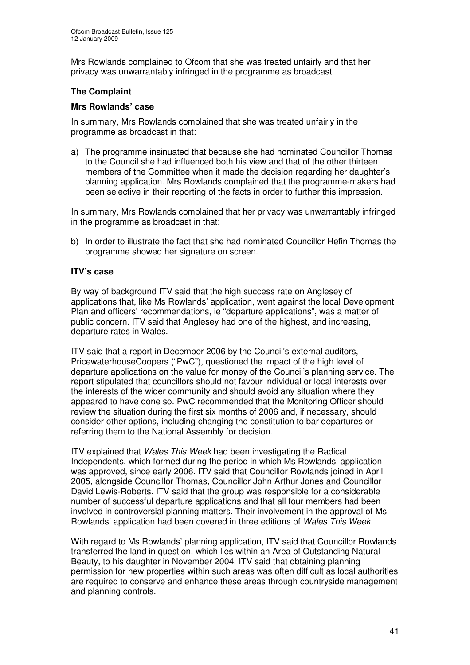Mrs Rowlands complained to Ofcom that she was treated unfairly and that her privacy was unwarrantably infringed in the programme as broadcast.

#### **The Complaint**

#### **Mrs Rowlands' case**

In summary, Mrs Rowlands complained that she was treated unfairly in the programme as broadcast in that:

a) The programme insinuated that because she had nominated Councillor Thomas to the Council she had influenced both his view and that of the other thirteen members of the Committee when it made the decision regarding her daughter's planning application. Mrs Rowlands complained that the programme-makers had been selective in their reporting of the facts in order to further this impression.

In summary, Mrs Rowlands complained that her privacy was unwarrantably infringed in the programme as broadcast in that:

b) In order to illustrate the fact that she had nominated Councillor Hefin Thomas the programme showed her signature on screen.

#### **ITV's case**

By way of background ITV said that the high success rate on Anglesey of applications that, like Ms Rowlands' application, went against the local Development Plan and officers' recommendations, ie "departure applications", was a matter of public concern. ITV said that Anglesey had one of the highest, and increasing, departure rates in Wales.

ITV said that a report in December 2006 by the Council's external auditors, PricewaterhouseCoopers ("PwC"), questioned the impact of the high level of departure applications on the value for money of the Council's planning service. The report stipulated that councillors should not favour individual or local interests over the interests of the wider community and should avoid any situation where they appeared to have done so. PwC recommended that the Monitoring Officer should review the situation during the first six months of 2006 and, if necessary, should consider other options, including changing the constitution to bar departures or referring them to the National Assembly for decision.

ITV explained that *Wales This Week* had been investigating the Radical Independents, which formed during the period in which Ms Rowlands' application was approved, since early 2006. ITV said that Councillor Rowlands joined in April 2005, alongside Councillor Thomas, Councillor John Arthur Jones and Councillor David Lewis-Roberts. ITV said that the group was responsible for a considerable number of successful departure applications and that all four members had been involved in controversial planning matters. Their involvement in the approval of Ms Rowlands' application had been covered in three editions of *Wales This Week.*

With regard to Ms Rowlands' planning application, ITV said that Councillor Rowlands transferred the land in question, which lies within an Area of Outstanding Natural Beauty, to his daughter in November 2004. ITV said that obtaining planning permission for new properties within such areas was often difficult as local authorities are required to conserve and enhance these areas through countryside management and planning controls.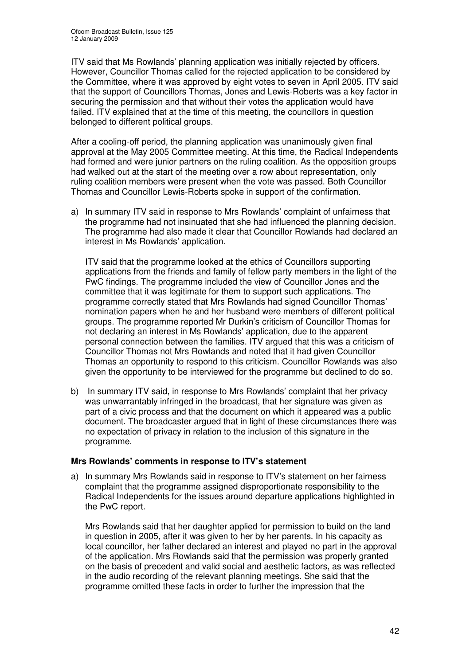ITV said that Ms Rowlands' planning application was initially rejected by officers. However, Councillor Thomas called for the rejected application to be considered by the Committee, where it was approved by eight votes to seven in April 2005. ITV said that the support of Councillors Thomas, Jones and Lewis-Roberts was a key factor in securing the permission and that without their votes the application would have failed. ITV explained that at the time of this meeting, the councillors in question belonged to different political groups.

After a cooling-off period, the planning application was unanimously given final approval at the May 2005 Committee meeting. At this time, the Radical Independents had formed and were junior partners on the ruling coalition. As the opposition groups had walked out at the start of the meeting over a row about representation, only ruling coalition members were present when the vote was passed. Both Councillor Thomas and Councillor Lewis-Roberts spoke in support of the confirmation.

a) In summary ITV said in response to Mrs Rowlands' complaint of unfairness that the programme had not insinuated that she had influenced the planning decision. The programme had also made it clear that Councillor Rowlands had declared an interest in Ms Rowlands' application.

ITV said that the programme looked at the ethics of Councillors supporting applications from the friends and family of fellow party members in the light of the PwC findings. The programme included the view of Councillor Jones and the committee that it was legitimate for them to support such applications. The programme correctly stated that Mrs Rowlands had signed Councillor Thomas' nomination papers when he and her husband were members of different political groups. The programme reported Mr Durkin's criticism of Councillor Thomas for not declaring an interest in Ms Rowlands' application, due to the apparent personal connection between the families. ITV argued that this was a criticism of Councillor Thomas not Mrs Rowlands and noted that it had given Councillor Thomas an opportunity to respond to this criticism. Councillor Rowlands was also given the opportunity to be interviewed for the programme but declined to do so.

b) In summary ITV said, in response to Mrs Rowlands' complaint that her privacy was unwarrantably infringed in the broadcast, that her signature was given as part of a civic process and that the document on which it appeared was a public document. The broadcaster argued that in light of these circumstances there was no expectation of privacy in relation to the inclusion of this signature in the programme.

#### **Mrs Rowlands' comments in response to ITV's statement**

a) In summary Mrs Rowlands said in response to ITV's statement on her fairness complaint that the programme assigned disproportionate responsibility to the Radical Independents for the issues around departure applications highlighted in the PwC report.

Mrs Rowlands said that her daughter applied for permission to build on the land in question in 2005, after it was given to her by her parents. In his capacity as local councillor, her father declared an interest and played no part in the approval of the application. Mrs Rowlands said that the permission was properly granted on the basis of precedent and valid social and aesthetic factors, as was reflected in the audio recording of the relevant planning meetings. She said that the programme omitted these facts in order to further the impression that the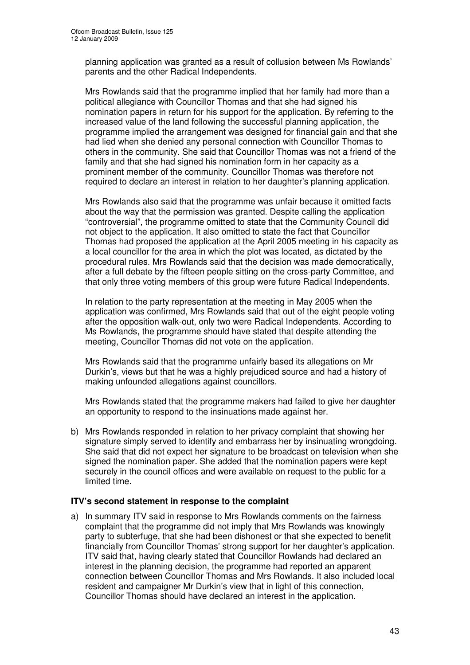planning application was granted as a result of collusion between Ms Rowlands' parents and the other Radical Independents.

Mrs Rowlands said that the programme implied that her family had more than a political allegiance with Councillor Thomas and that she had signed his nomination papers in return for his support for the application. By referring to the increased value of the land following the successful planning application, the programme implied the arrangement was designed for financial gain and that she had lied when she denied any personal connection with Councillor Thomas to others in the community. She said that Councillor Thomas was not a friend of the family and that she had signed his nomination form in her capacity as a prominent member of the community. Councillor Thomas was therefore not required to declare an interest in relation to her daughter's planning application.

Mrs Rowlands also said that the programme was unfair because it omitted facts about the way that the permission was granted. Despite calling the application "controversial", the programme omitted to state that the Community Council did not object to the application. It also omitted to state the fact that Councillor Thomas had proposed the application at the April 2005 meeting in his capacity as a local councillor for the area in which the plot was located, as dictated by the procedural rules. Mrs Rowlands said that the decision was made democratically, after a full debate by the fifteen people sitting on the cross-party Committee, and that only three voting members of this group were future Radical Independents.

In relation to the party representation at the meeting in May 2005 when the application was confirmed, Mrs Rowlands said that out of the eight people voting after the opposition walk-out, only two were Radical Independents. According to Ms Rowlands, the programme should have stated that despite attending the meeting, Councillor Thomas did not vote on the application.

Mrs Rowlands said that the programme unfairly based its allegations on Mr Durkin's, views but that he was a highly prejudiced source and had a history of making unfounded allegations against councillors.

Mrs Rowlands stated that the programme makers had failed to give her daughter an opportunity to respond to the insinuations made against her.

b) Mrs Rowlands responded in relation to her privacy complaint that showing her signature simply served to identify and embarrass her by insinuating wrongdoing. She said that did not expect her signature to be broadcast on television when she signed the nomination paper. She added that the nomination papers were kept securely in the council offices and were available on request to the public for a limited time.

#### **ITV's second statement in response to the complaint**

a) In summary ITV said in response to Mrs Rowlands comments on the fairness complaint that the programme did not imply that Mrs Rowlands was knowingly party to subterfuge, that she had been dishonest or that she expected to benefit financially from Councillor Thomas' strong support for her daughter's application. ITV said that, having clearly stated that Councillor Rowlands had declared an interest in the planning decision, the programme had reported an apparent connection between Councillor Thomas and Mrs Rowlands. It also included local resident and campaigner Mr Durkin's view that in light of this connection, Councillor Thomas should have declared an interest in the application.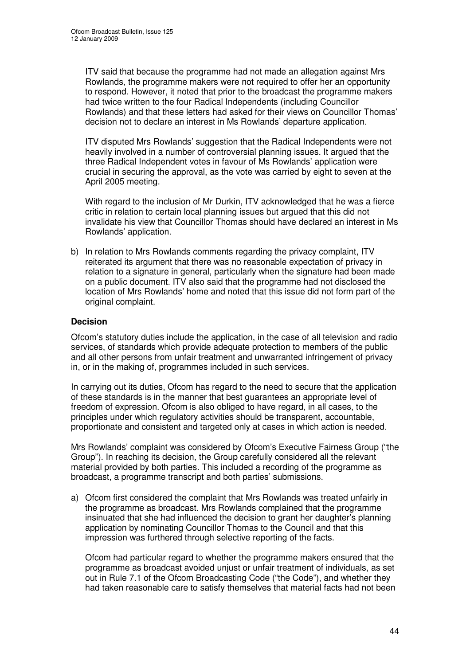ITV said that because the programme had not made an allegation against Mrs Rowlands, the programme makers were not required to offer her an opportunity to respond. However, it noted that prior to the broadcast the programme makers had twice written to the four Radical Independents (including Councillor Rowlands) and that these letters had asked for their views on Councillor Thomas' decision not to declare an interest in Ms Rowlands' departure application.

ITV disputed Mrs Rowlands' suggestion that the Radical Independents were not heavily involved in a number of controversial planning issues. It argued that the three Radical Independent votes in favour of Ms Rowlands' application were crucial in securing the approval, as the vote was carried by eight to seven at the April 2005 meeting.

With regard to the inclusion of Mr Durkin, ITV acknowledged that he was a fierce critic in relation to certain local planning issues but argued that this did not invalidate his view that Councillor Thomas should have declared an interest in Ms Rowlands' application.

b) In relation to Mrs Rowlands comments regarding the privacy complaint, ITV reiterated its argument that there was no reasonable expectation of privacy in relation to a signature in general, particularly when the signature had been made on a public document. ITV also said that the programme had not disclosed the location of Mrs Rowlands' home and noted that this issue did not form part of the original complaint.

#### **Decision**

Ofcom's statutory duties include the application, in the case of all television and radio services, of standards which provide adequate protection to members of the public and all other persons from unfair treatment and unwarranted infringement of privacy in, or in the making of, programmes included in such services.

In carrying out its duties, Ofcom has regard to the need to secure that the application of these standards is in the manner that best guarantees an appropriate level of freedom of expression. Ofcom is also obliged to have regard, in all cases, to the principles under which regulatory activities should be transparent, accountable, proportionate and consistent and targeted only at cases in which action is needed.

Mrs Rowlands' complaint was considered by Ofcom's Executive Fairness Group ("the Group"). In reaching its decision, the Group carefully considered all the relevant material provided by both parties. This included a recording of the programme as broadcast, a programme transcript and both parties' submissions.

a) Ofcom first considered the complaint that Mrs Rowlands was treated unfairly in the programme as broadcast. Mrs Rowlands complained that the programme insinuated that she had influenced the decision to grant her daughter's planning application by nominating Councillor Thomas to the Council and that this impression was furthered through selective reporting of the facts.

Ofcom had particular regard to whether the programme makers ensured that the programme as broadcast avoided unjust or unfair treatment of individuals, as set out in Rule 7.1 of the Ofcom Broadcasting Code ("the Code"), and whether they had taken reasonable care to satisfy themselves that material facts had not been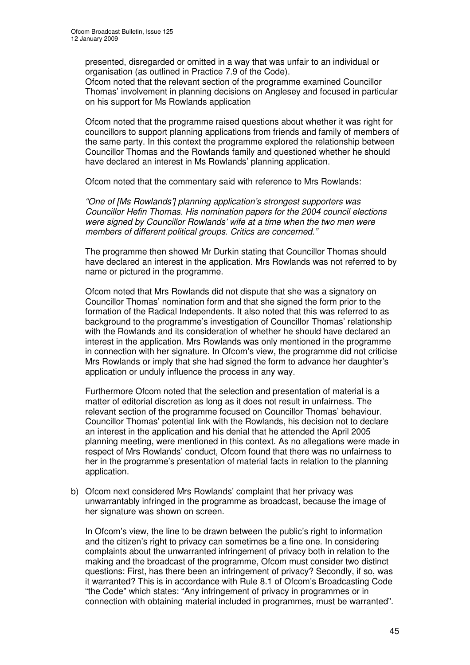presented, disregarded or omitted in a way that was unfair to an individual or organisation (as outlined in Practice 7.9 of the Code).

Ofcom noted that the relevant section of the programme examined Councillor Thomas' involvement in planning decisions on Anglesey and focused in particular on his support for Ms Rowlands application

Ofcom noted that the programme raised questions about whether it was right for councillors to support planning applications from friends and family of members of the same party. In this context the programme explored the relationship between Councillor Thomas and the Rowlands family and questioned whether he should have declared an interest in Ms Rowlands' planning application.

Ofcom noted that the commentary said with reference to Mrs Rowlands:

*"One of [Ms Rowlands'] planning application's strongest supporters was Councillor Hefin Thomas. His nomination papers for the 2004 council elections were signed by Councillor Rowlands' wife at a time when the two men were members of different political groups. Critics are concerned."*

The programme then showed Mr Durkin stating that Councillor Thomas should have declared an interest in the application. Mrs Rowlands was not referred to by name or pictured in the programme.

Ofcom noted that Mrs Rowlands did not dispute that she was a signatory on Councillor Thomas' nomination form and that she signed the form prior to the formation of the Radical Independents. It also noted that this was referred to as background to the programme's investigation of Councillor Thomas' relationship with the Rowlands and its consideration of whether he should have declared an interest in the application. Mrs Rowlands was only mentioned in the programme in connection with her signature. In Ofcom's view, the programme did not criticise Mrs Rowlands or imply that she had signed the form to advance her daughter's application or unduly influence the process in any way.

Furthermore Ofcom noted that the selection and presentation of material is a matter of editorial discretion as long as it does not result in unfairness. The relevant section of the programme focused on Councillor Thomas' behaviour. Councillor Thomas' potential link with the Rowlands, his decision not to declare an interest in the application and his denial that he attended the April 2005 planning meeting, were mentioned in this context. As no allegations were made in respect of Mrs Rowlands' conduct, Ofcom found that there was no unfairness to her in the programme's presentation of material facts in relation to the planning application.

b) Ofcom next considered Mrs Rowlands' complaint that her privacy was unwarrantably infringed in the programme as broadcast, because the image of her signature was shown on screen.

In Ofcom's view, the line to be drawn between the public's right to information and the citizen's right to privacy can sometimes be a fine one. In considering complaints about the unwarranted infringement of privacy both in relation to the making and the broadcast of the programme, Ofcom must consider two distinct questions: First, has there been an infringement of privacy? Secondly, if so, was it warranted? This is in accordance with Rule 8.1 of Ofcom's Broadcasting Code "the Code" which states: "Any infringement of privacy in programmes or in connection with obtaining material included in programmes, must be warranted".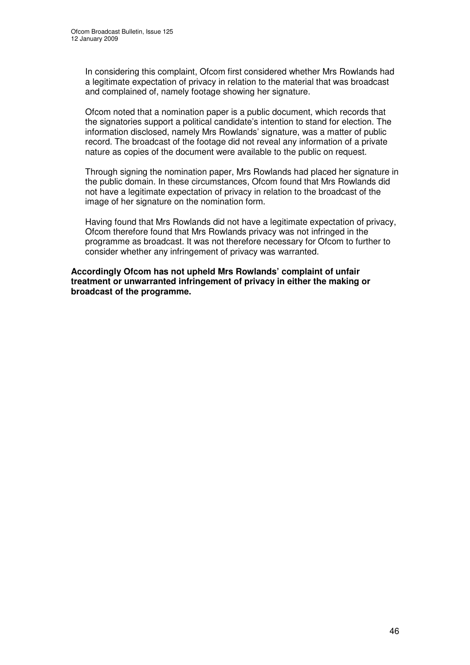In considering this complaint, Ofcom first considered whether Mrs Rowlands had a legitimate expectation of privacy in relation to the material that was broadcast and complained of, namely footage showing her signature.

Ofcom noted that a nomination paper is a public document, which records that the signatories support a political candidate's intention to stand for election. The information disclosed, namely Mrs Rowlands' signature, was a matter of public record. The broadcast of the footage did not reveal any information of a private nature as copies of the document were available to the public on request.

Through signing the nomination paper, Mrs Rowlands had placed her signature in the public domain. In these circumstances, Ofcom found that Mrs Rowlands did not have a legitimate expectation of privacy in relation to the broadcast of the image of her signature on the nomination form.

Having found that Mrs Rowlands did not have a legitimate expectation of privacy, Ofcom therefore found that Mrs Rowlands privacy was not infringed in the programme as broadcast. It was not therefore necessary for Ofcom to further to consider whether any infringement of privacy was warranted.

**Accordingly Ofcom has not upheld Mrs Rowlands' complaint of unfair treatment or unwarranted infringement of privacy in either the making or broadcast of the programme.**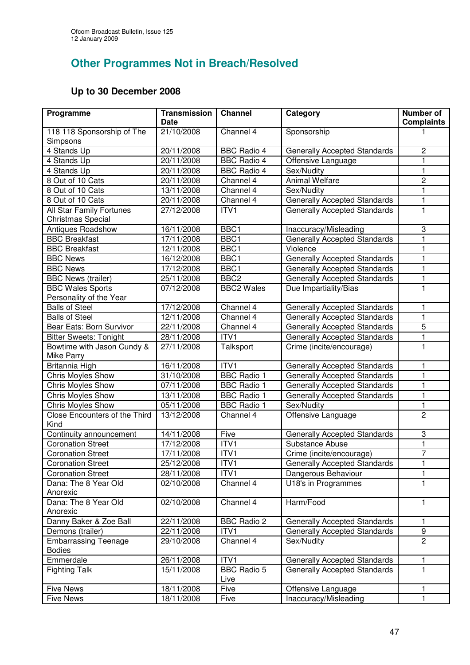## **Other Programmes Not in Breach/Resolved**

## **Up to 30 December 2008**

| Programme                                                   | <b>Transmission</b><br><b>Date</b> | <b>Channel</b>             | Category                            | Number of<br><b>Complaints</b> |
|-------------------------------------------------------------|------------------------------------|----------------------------|-------------------------------------|--------------------------------|
| 118 118 Sponsorship of The<br>Simpsons                      | 21/10/2008                         | Channel 4                  | Sponsorship                         |                                |
| 4 Stands Up                                                 | 20/11/2008                         | <b>BBC Radio 4</b>         | <b>Generally Accepted Standards</b> | $\overline{2}$                 |
| 4 Stands Up                                                 | 20/11/2008                         | <b>BBC Radio 4</b>         | Offensive Language                  | 1                              |
| 4 Stands Up                                                 | 20/11/2008                         | <b>BBC Radio 4</b>         | Sex/Nudity                          | 1                              |
| 8 Out of 10 Cats                                            | 20/11/2008                         | Channel 4                  | <b>Animal Welfare</b>               | $\overline{2}$                 |
| 8 Out of 10 Cats                                            | 13/11/2008                         | Channel 4                  | Sex/Nudity                          | 1                              |
| 8 Out of 10 Cats                                            | 20/11/2008                         | Channel 4                  | <b>Generally Accepted Standards</b> | $\mathbf{1}$                   |
| <b>All Star Family Fortunes</b><br><b>Christmas Special</b> | 27/12/2008                         | ITV1                       | <b>Generally Accepted Standards</b> | $\mathbf{1}$                   |
| <b>Antiques Roadshow</b>                                    | 16/11/2008                         | BBC1                       | Inaccuracy/Misleading               | 3                              |
| <b>BBC Breakfast</b>                                        | 17/11/2008                         | BBC <sub>1</sub>           | <b>Generally Accepted Standards</b> | 1                              |
| <b>BBC Breakfast</b>                                        | 12/11/2008                         | BBC1                       | Violence                            | 1                              |
| <b>BBC News</b>                                             | 16/12/2008                         | BBC1                       | Generally Accepted Standards        | 1                              |
| <b>BBC News</b>                                             | 17/12/2008                         | BBC1                       | <b>Generally Accepted Standards</b> | 1                              |
| <b>BBC News (trailer)</b>                                   | 25/11/2008                         | BBC <sub>2</sub>           | <b>Generally Accepted Standards</b> | $\mathbf 1$                    |
| <b>BBC Wales Sports</b>                                     | 07/12/2008                         | <b>BBC2 Wales</b>          | Due Impartiality/Bias               | 1                              |
| Personality of the Year                                     |                                    |                            |                                     |                                |
| <b>Balls of Steel</b>                                       | 17/12/2008                         | Channel 4                  | Generally Accepted Standards        | 1                              |
| <b>Balls of Steel</b>                                       | 12/11/2008                         | Channel 4                  | <b>Generally Accepted Standards</b> | 1                              |
| <b>Bear Eats: Born Survivor</b>                             | 22/11/2008                         | Channel 4                  | <b>Generally Accepted Standards</b> | 5                              |
| <b>Bitter Sweets: Tonight</b>                               | 28/11/2008                         | ITV1                       | <b>Generally Accepted Standards</b> | $\mathbf{1}$                   |
| Bowtime with Jason Cundy &                                  | 27/11/2008                         | Talksport                  | Crime (incite/encourage)            | $\mathbf{1}$                   |
| Mike Parry                                                  |                                    |                            |                                     |                                |
| Britannia High                                              | 16/11/2008                         | ITV <sub>1</sub>           | <b>Generally Accepted Standards</b> | 1                              |
| Chris Moyles Show                                           | 31/10/2008                         | <b>BBC Radio 1</b>         | <b>Generally Accepted Standards</b> | $\mathbf{1}$                   |
| <b>Chris Moyles Show</b>                                    | 07/11/2008                         | <b>BBC Radio 1</b>         | <b>Generally Accepted Standards</b> | $\mathbf{1}$                   |
| <b>Chris Moyles Show</b>                                    | 13/11/2008                         | <b>BBC Radio 1</b>         | <b>Generally Accepted Standards</b> | 1                              |
| Chris Moyles Show                                           | 05/11/2008                         | <b>BBC Radio 1</b>         | Sex/Nudity                          | 1                              |
| Close Encounters of the Third<br>Kind                       | 13/12/2008                         | Channel 4                  | Offensive Language                  | $\overline{2}$                 |
| Continuity announcement                                     | 14/11/2008                         | Five                       | <b>Generally Accepted Standards</b> | 3                              |
| <b>Coronation Street</b>                                    | 17/12/2008                         | ITV1                       | Substance Abuse                     | 1                              |
| <b>Coronation Street</b>                                    | 17/11/2008                         | ITV1                       | Crime (incite/encourage)            | $\overline{7}$                 |
| <b>Coronation Street</b>                                    | 25/12/2008                         | ITV <sub>1</sub>           | <b>Generally Accepted Standards</b> | 1                              |
| <b>Coronation Street</b>                                    | 28/11/2008                         | ITV1                       | Dangerous Behaviour                 | 1                              |
| Dana: The 8 Year Old<br>Anorexic                            | 02/10/2008                         | Channel 4                  | U18's in Programmes                 | 1                              |
| Dana: The 8 Year Old<br>Anorexic                            | 02/10/2008                         | Channel 4                  | Harm/Food                           | 1                              |
| Danny Baker & Zoe Ball                                      | 22/11/2008                         | <b>BBC Radio 2</b>         | <b>Generally Accepted Standards</b> | 1                              |
| Demons (trailer)                                            | 22/11/2008                         | ITV1                       | <b>Generally Accepted Standards</b> | 9                              |
| <b>Embarrassing Teenage</b><br><b>Bodies</b>                | 29/10/2008                         | Channel 4                  | Sex/Nudity                          | $\overline{2}$                 |
| Emmerdale                                                   | 26/11/2008                         | ITV1                       | <b>Generally Accepted Standards</b> | 1                              |
| <b>Fighting Talk</b>                                        | 15/11/2008                         | <b>BBC Radio 5</b><br>Live | <b>Generally Accepted Standards</b> | 1                              |
| <b>Five News</b>                                            | 18/11/2008                         | Five                       | Offensive Language                  | 1                              |
| <b>Five News</b>                                            | 18/11/2008                         | Five                       | Inaccuracy/Misleading               | 1                              |
|                                                             |                                    |                            |                                     |                                |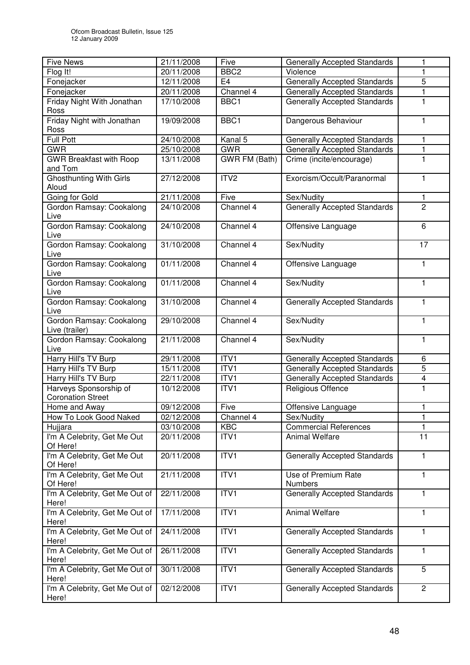| <b>Five News</b>                                   | 21/11/2008              | Five                 | <b>Generally Accepted Standards</b>   | 1                       |
|----------------------------------------------------|-------------------------|----------------------|---------------------------------------|-------------------------|
| Flog It!                                           | 20/11/2008              | BBC <sub>2</sub>     | Violence                              | 1                       |
| Fonejacker                                         | 12/11/2008              | E <sub>4</sub>       | <b>Generally Accepted Standards</b>   | 5                       |
| Fonejacker                                         | 20/11/2008              | Channel 4            | <b>Generally Accepted Standards</b>   | 1                       |
| Friday Night With Jonathan<br>Ross                 | 17/10/2008              | BBC1                 | <b>Generally Accepted Standards</b>   | $\mathbf{1}$            |
| Friday Night with Jonathan<br>Ross                 | 19/09/2008              | BBC1                 | Dangerous Behaviour                   | 1                       |
| <b>Full Pott</b>                                   | 24/10/2008              | Kanal 5              | <b>Generally Accepted Standards</b>   | $\mathbf{1}$            |
| <b>GWR</b>                                         | 25/10/2008              | <b>GWR</b>           | <b>Generally Accepted Standards</b>   | 1                       |
| <b>GWR Breakfast with Roop</b><br>and Tom          | 13/11/2008              | <b>GWR FM (Bath)</b> | Crime (incite/encourage)              | 1                       |
| <b>Ghosthunting With Girls</b><br>Aloud            | 27/12/2008              | ITV2                 | Exorcism/Occult/Paranormal            | $\mathbf{1}$            |
| Going for Gold                                     | 21/11/2008              | Five                 | Sex/Nudity                            | 1                       |
| Gordon Ramsay: Cookalong<br>Live                   | 24/10/2008              | Channel 4            | Generally Accepted Standards          | $\overline{2}$          |
| Gordon Ramsay: Cookalong<br>Live                   | 24/10/2008              | Channel 4            | Offensive Language                    | 6                       |
| Gordon Ramsay: Cookalong<br>Live                   | 31/10/2008              | Channel 4            | Sex/Nudity                            | 17                      |
| Gordon Ramsay: Cookalong<br>Live                   | $\overline{01/11/2008}$ | Channel 4            | Offensive Language                    | $\mathbf{1}$            |
| Gordon Ramsay: Cookalong<br>Live                   | 01/11/2008              | Channel 4            | Sex/Nudity                            | 1                       |
| Gordon Ramsay: Cookalong<br>Live                   | 31/10/2008              | Channel 4            | <b>Generally Accepted Standards</b>   | $\mathbf{1}$            |
| Gordon Ramsay: Cookalong<br>Live (trailer)         | 29/10/2008              | Channel 4            | Sex/Nudity                            | $\mathbf{1}$            |
| Gordon Ramsay: Cookalong<br>Live                   | 21/11/2008              | Channel 4            | Sex/Nudity                            | $\mathbf{1}$            |
| Harry Hill's TV Burp                               | 29/11/2008              | ITV1                 | <b>Generally Accepted Standards</b>   | 6                       |
| Harry Hill's TV Burp                               | 15/11/2008              | ITV1                 | <b>Generally Accepted Standards</b>   | $\overline{5}$          |
| Harry Hill's TV Burp                               | 22/11/2008              | ITV1                 | <b>Generally Accepted Standards</b>   | $\overline{\mathbf{4}}$ |
| Harveys Sponsorship of<br><b>Coronation Street</b> | 10/12/2008              | ITV1                 | Religious Offence                     | $\mathbf{1}$            |
| Home and Away                                      | 09/12/2008              | Five                 | Offensive Language                    | 1                       |
| How To Look Good Naked                             | 02/12/2008              | Channel 4            | Sex/Nudity                            | 1                       |
| Hujjara                                            | 03/10/2008              | <b>KBC</b>           | <b>Commercial References</b>          | 1                       |
| I'm A Celebrity, Get Me Out<br>Of Here!            | 20/11/2008              | ITV1                 | <b>Animal Welfare</b>                 | 11                      |
| I'm A Celebrity, Get Me Out<br>Of Here!            | 20/11/2008              | ITV1                 | <b>Generally Accepted Standards</b>   | 1                       |
| I'm A Celebrity, Get Me Out<br>Of Here!            | 21/11/2008              | ITV1                 | Use of Premium Rate<br><b>Numbers</b> | $\mathbf{1}$            |
| I'm A Celebrity, Get Me Out of<br>Here!            | 22/11/2008              | ITV1                 | <b>Generally Accepted Standards</b>   | 1                       |
| I'm A Celebrity, Get Me Out of<br>Here!            | 17/11/2008              | ITV1                 | <b>Animal Welfare</b>                 | $\mathbf{1}$            |
| I'm A Celebrity, Get Me Out of<br>Here!            | 24/11/2008              | ITV1                 | <b>Generally Accepted Standards</b>   | $\mathbf{1}$            |
| I'm A Celebrity, Get Me Out of<br>Here!            | 26/11/2008              | ITV1                 | <b>Generally Accepted Standards</b>   | $\mathbf{1}$            |
| I'm A Celebrity, Get Me Out of<br>Here!            | 30/11/2008              | ITV1                 | <b>Generally Accepted Standards</b>   | 5                       |
| I'm A Celebrity, Get Me Out of<br>Here!            | 02/12/2008              | ITV1                 | <b>Generally Accepted Standards</b>   | $\mathbf{2}$            |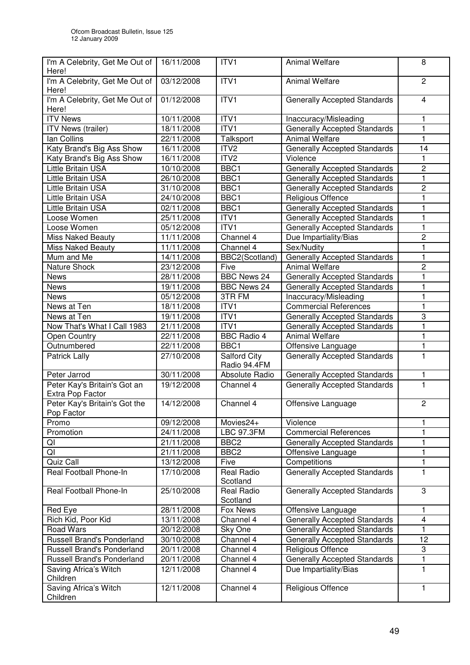| I'm A Celebrity, Get Me Out of<br>Here!     | 16/11/2008 | ITV1                                | <b>Animal Welfare</b>               | 8              |
|---------------------------------------------|------------|-------------------------------------|-------------------------------------|----------------|
| I'm A Celebrity, Get Me Out of<br>Here!     | 03/12/2008 | ITV1                                | <b>Animal Welfare</b>               | $\overline{2}$ |
| I'm A Celebrity, Get Me Out of<br>Here!     | 01/12/2008 | ITV1                                | <b>Generally Accepted Standards</b> | $\overline{4}$ |
| <b>ITV News</b>                             | 10/11/2008 | ITV1                                | Inaccuracy/Misleading               | 1              |
| ITV News (trailer)                          | 18/11/2008 | ITV1                                | <b>Generally Accepted Standards</b> | $\mathbf{1}$   |
| lan Collins                                 | 22/11/2008 | Talksport                           | <b>Animal Welfare</b>               | 1              |
| Katy Brand's Big Ass Show                   | 16/11/2008 | ITV <sub>2</sub>                    | Generally Accepted Standards        | 14             |
| Katy Brand's Big Ass Show                   | 16/11/2008 | ITV <sub>2</sub>                    | Violence                            | 1              |
| <b>Little Britain USA</b>                   | 10/10/2008 | BBC1                                | <b>Generally Accepted Standards</b> | $\overline{c}$ |
| Little Britain USA                          | 26/10/2008 | BBC1                                | <b>Generally Accepted Standards</b> | 1              |
| Little Britain USA                          | 31/10/2008 | BBC1                                | <b>Generally Accepted Standards</b> | $\overline{c}$ |
| Little Britain USA                          | 24/10/2008 | BBC1                                | Religious Offence                   | 1              |
| Little Britain USA                          | 02/11/2008 | BBC1                                | <b>Generally Accepted Standards</b> | 1              |
| Loose Women                                 | 25/11/2008 | ITV1                                | <b>Generally Accepted Standards</b> | 1              |
| Loose Women                                 | 05/12/2008 | ITV <sub>1</sub>                    | <b>Generally Accepted Standards</b> | 1              |
| <b>Miss Naked Beauty</b>                    | 11/11/2008 | Channel 4                           | Due Impartiality/Bias               | $\overline{c}$ |
| <b>Miss Naked Beauty</b>                    | 11/11/2008 | Channel 4                           | Sex/Nudity                          | $\mathbf{1}$   |
| Mum and Me                                  | 14/11/2008 | BBC2(Scotland)                      | <b>Generally Accepted Standards</b> | 1              |
| Nature Shock                                | 23/12/2008 | Five                                | <b>Animal Welfare</b>               | $\overline{c}$ |
| <b>News</b>                                 | 28/11/2008 | <b>BBC News 24</b>                  | <b>Generally Accepted Standards</b> | $\mathbf{1}$   |
| News                                        | 19/11/2008 | <b>BBC News 24</b>                  | <b>Generally Accepted Standards</b> | 1              |
| News                                        | 05/12/2008 | 3TR FM                              | Inaccuracy/Misleading               | 1              |
| News at Ten                                 | 18/11/2008 | ITV1                                | <b>Commercial References</b>        | $\mathbf{1}$   |
| News at Ten                                 | 19/11/2008 | ITV1                                | <b>Generally Accepted Standards</b> | 3              |
| Now That's What I Call 1983                 | 21/11/2008 | ITV1                                | <b>Generally Accepted Standards</b> | 1              |
| <b>Open Country</b>                         | 22/11/2008 | <b>BBC Radio 4</b>                  | <b>Animal Welfare</b>               | 1              |
| Outnumbered                                 | 22/11/2008 | BBC1                                | Offensive Language                  | 1              |
| Patrick Lally                               | 27/10/2008 | <b>Salford City</b><br>Radio 94.4FM | <b>Generally Accepted Standards</b> | 1              |
| Peter Jarrod                                | 30/11/2008 | Absolute Radio                      | <b>Generally Accepted Standards</b> | 1              |
| Peter Kay's Britain's Got an                | 19/12/2008 | Channel 4                           | <b>Generally Accepted Standards</b> | $\overline{1}$ |
| Extra Pop Factor                            |            |                                     |                                     |                |
| Peter Kay's Britain's Got the<br>Pop Factor | 14/12/2008 | Channel 4                           | Offensive Language                  | $\overline{c}$ |
| Promo                                       | 09/12/2008 | Movies24+                           | Violence                            | 1              |
| Promotion                                   | 24/11/2008 | <b>LBC 97.3FM</b>                   | <b>Commercial References</b>        | 1              |
| QI                                          | 21/11/2008 | BBC <sub>2</sub>                    | <b>Generally Accepted Standards</b> | 1              |
| QI                                          | 21/11/2008 | BBC <sub>2</sub>                    | Offensive Language                  | 1              |
| Quiz Call                                   | 13/12/2008 | Five                                | Competitions                        | 1              |
| Real Football Phone-In                      | 17/10/2008 | <b>Real Radio</b><br>Scotland       | Generally Accepted Standards        | 1              |
| Real Football Phone-In                      | 25/10/2008 | <b>Real Radio</b><br>Scotland       | <b>Generally Accepted Standards</b> | 3              |
| Red Eye                                     | 28/11/2008 | Fox News                            | Offensive Language                  | 1              |
| Rich Kid, Poor Kid                          | 13/11/2008 | Channel 4                           | <b>Generally Accepted Standards</b> | 4              |
| <b>Road Wars</b>                            | 20/12/2008 | Sky One                             | Generally Accepted Standards        | 1              |
| Russell Brand's Ponderland                  | 30/10/2008 | Channel 4                           | <b>Generally Accepted Standards</b> | 12             |
| <b>Russell Brand's Ponderland</b>           | 20/11/2008 | Channel 4                           | Religious Offence                   | 3              |
| <b>Russell Brand's Ponderland</b>           | 20/11/2008 | Channel 4                           | <b>Generally Accepted Standards</b> | 1              |
| Saving Africa's Witch<br>Children           | 12/11/2008 | Channel 4                           | Due Impartiality/Bias               | 1              |
| Saving Africa's Witch<br>Children           | 12/11/2008 | Channel 4                           | Religious Offence                   | 1              |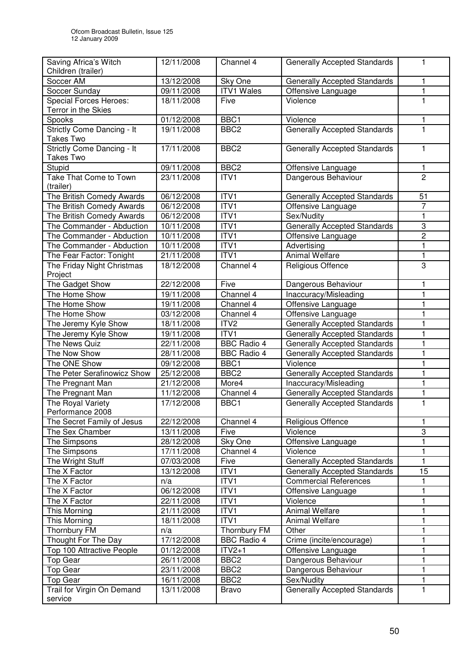| Saving Africa's Witch<br>Children (trailer) | 12/11/2008 | Channel 4          | <b>Generally Accepted Standards</b> | 1              |
|---------------------------------------------|------------|--------------------|-------------------------------------|----------------|
| Soccer AM                                   | 13/12/2008 | Sky One            | <b>Generally Accepted Standards</b> | 1              |
| Soccer Sunday                               | 09/11/2008 | <b>ITV1 Wales</b>  | Offensive Language                  | 1              |
| <b>Special Forces Heroes:</b>               | 18/11/2008 | Five               | Violence                            | 1              |
| Terror in the Skies                         |            |                    |                                     |                |
| Spooks                                      | 01/12/2008 | BBC1               | Violence                            | 1              |
| Strictly Come Dancing - It                  | 19/11/2008 | BBC <sub>2</sub>   | <b>Generally Accepted Standards</b> | 1              |
| <b>Takes Two</b>                            |            |                    |                                     |                |
| Strictly Come Dancing - It                  | 17/11/2008 | BBC <sub>2</sub>   | <b>Generally Accepted Standards</b> | 1              |
| Takes Two                                   |            |                    |                                     |                |
| Stupid                                      | 09/11/2008 | BBC <sub>2</sub>   | Offensive Language                  | 1              |
| Take That Come to Town                      | 23/11/2008 | ITV1               | Dangerous Behaviour                 | $\overline{2}$ |
| (trailer)                                   |            |                    |                                     |                |
| The British Comedy Awards                   | 06/12/2008 | ITV1               | <b>Generally Accepted Standards</b> | 51             |
| The British Comedy Awards                   | 06/12/2008 | ITVI               | Offensive Language                  | $\overline{7}$ |
| The British Comedy Awards                   | 06/12/2008 | ITV1               | Sex/Nudity                          | 1              |
| The Commander - Abduction                   | 10/11/2008 | ITV1               | <b>Generally Accepted Standards</b> | 3              |
| The Commander - Abduction                   | 10/11/2008 | ITVI               | Offensive Language                  | $\overline{2}$ |
| The Commander - Abduction                   | 10/11/2008 | ITV1               | Advertising                         | 1              |
| The Fear Factor: Tonight                    | 21/11/2008 | ITV1               | <b>Animal Welfare</b>               | 1              |
| The Friday Night Christmas                  | 18/12/2008 | Channel 4          | Religious Offence                   | $\overline{3}$ |
| Project                                     |            |                    |                                     |                |
| The Gadget Show                             | 22/12/2008 | Five               | Dangerous Behaviour                 | 1              |
| The Home Show                               | 19/11/2008 | Channel 4          | Inaccuracy/Misleading               | $\mathbf{1}$   |
| The Home Show                               | 19/11/2008 | Channel 4          | Offensive Language                  | 1              |
| The Home Show                               | 03/12/2008 | Channel 4          | Offensive Language                  | 1              |
| The Jeremy Kyle Show                        | 18/11/2008 | ITV <sub>2</sub>   | <b>Generally Accepted Standards</b> | 1              |
| The Jeremy Kyle Show                        | 19/11/2008 | ITV <sub>1</sub>   | <b>Generally Accepted Standards</b> | 1              |
| The News Quiz                               | 22/11/2008 | <b>BBC Radio 4</b> | <b>Generally Accepted Standards</b> | 1              |
| The Now Show                                | 28/11/2008 | <b>BBC Radio 4</b> | <b>Generally Accepted Standards</b> | 1              |
| The ONE Show                                | 09/12/2008 | BBC1               | Violence                            | 1              |
| The Peter Serafinowicz Show                 | 25/12/2008 | BBC <sub>2</sub>   | <b>Generally Accepted Standards</b> | 1              |
| The Pregnant Man                            | 21/12/2008 | More4              | Inaccuracy/Misleading               | 1              |
| The Pregnant Man                            | 11/12/2008 | Channel 4          | <b>Generally Accepted Standards</b> | 1              |
| The Royal Variety                           | 17/12/2008 | BBC <sub>1</sub>   | <b>Generally Accepted Standards</b> | $\mathbf{1}$   |
| Performance 2008                            |            |                    |                                     |                |
| The Secret Family of Jesus                  | 22/12/2008 | Channel 4          | Religious Offence                   | 1              |
| The Sex Chamber                             | 13/11/2008 | Five               | Violence                            | 3              |
| The Simpsons                                | 28/12/2008 | Sky One            | Offensive Language                  | 1              |
| The Simpsons                                | 17/11/2008 | Channel 4          | Violence                            | 1              |
| The Wright Stuff                            | 07/03/2008 | Five               | <b>Generally Accepted Standards</b> | 1              |
| The X Factor                                | 13/12/2008 | ITV1               | <b>Generally Accepted Standards</b> | 15             |
| The X Factor                                | n/a        | ITV1               | <b>Commercial References</b>        | 1              |
| The X Factor                                | 06/12/2008 | ITV1               | Offensive Language                  | 1              |
| The X Factor                                | 22/11/2008 | ITV1               | Violence                            | 1              |
| This Morning                                | 21/11/2008 | ITVI               | Animal Welfare                      | 1              |
| This Morning                                | 18/11/2008 | ITV1               | Animal Welfare                      | 1              |
| Thornbury FM                                | n/a        | Thornbury FM       | Other                               | 1              |
| Thought For The Day                         | 17/12/2008 | <b>BBC</b> Radio 4 | Crime (incite/encourage)            | $\mathbf{1}$   |
| Top 100 Attractive People                   | 01/12/2008 | $TY2+1$            | Offensive Language                  | 1              |
| Top Gear                                    | 26/11/2008 | BBC <sub>2</sub>   | Dangerous Behaviour                 | 1              |
| Top Gear                                    | 23/11/2008 | BBC <sub>2</sub>   | Dangerous Behaviour                 | 1              |
| Top Gear                                    | 16/11/2008 | BBC <sub>2</sub>   | Sex/Nudity                          | 1              |
| Trail for Virgin On Demand                  | 13/11/2008 | <b>Bravo</b>       | Generally Accepted Standards        | 1              |
| service                                     |            |                    |                                     |                |